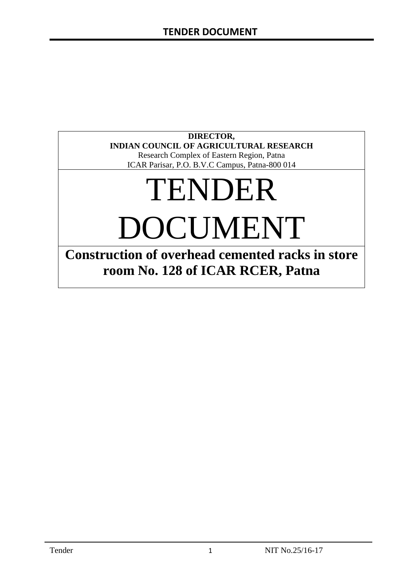### **DIRECTOR, INDIAN COUNCIL OF AGRICULTURAL RESEARCH**

Research Complex of Eastern Region, Patna ICAR Parisar, P.O. B.V.C Campus, Patna-800 014

# TENDER DOCUMENT

**Construction of overhead cemented racks in store room No. 128 of ICAR RCER, Patna**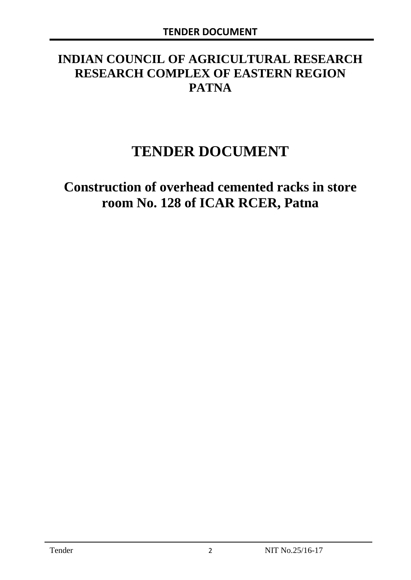# **INDIAN COUNCIL OF AGRICULTURAL RESEARCH RESEARCH COMPLEX OF EASTERN REGION PATNA**

# **TENDER DOCUMENT**

# **Construction of overhead cemented racks in store room No. 128 of ICAR RCER, Patna**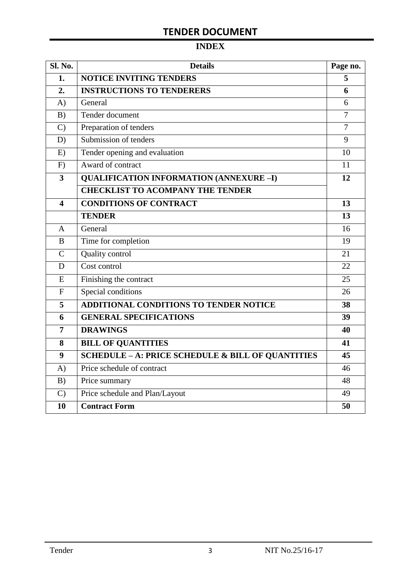# **TENDER DOCUMENT**

# **INDEX**

| Sl. No.                 | <b>Details</b>                                    |                |  |  |
|-------------------------|---------------------------------------------------|----------------|--|--|
| 1.                      | <b>NOTICE INVITING TENDERS</b>                    |                |  |  |
| 2.                      | <b>INSTRUCTIONS TO TENDERERS</b>                  | 6              |  |  |
| A)                      | General                                           | 6              |  |  |
| B)                      | Tender document                                   | 7              |  |  |
| $\mathcal{C}$           | Preparation of tenders                            | $\overline{7}$ |  |  |
| D)                      | Submission of tenders                             | 9              |  |  |
| E)                      | Tender opening and evaluation                     | 10             |  |  |
| F)                      | Award of contract                                 | 11             |  |  |
| $\overline{\mathbf{3}}$ | <b>QUALIFICATION INFORMATION (ANNEXURE-I)</b>     | 12             |  |  |
|                         | <b>CHECKLIST TO ACOMPANY THE TENDER</b>           |                |  |  |
| 4                       | <b>CONDITIONS OF CONTRACT</b>                     | 13             |  |  |
|                         | <b>TENDER</b>                                     | 13             |  |  |
| $\overline{A}$          | General                                           | 16             |  |  |
| B                       | Time for completion                               | 19             |  |  |
| $\overline{C}$          | Quality control                                   | 21             |  |  |
| D                       | Cost control                                      | 22             |  |  |
| E                       | Finishing the contract                            | 25             |  |  |
| $\mathbf{F}$            | Special conditions                                | 26             |  |  |
| 5                       | <b>ADDITIONAL CONDITIONS TO TENDER NOTICE</b>     | 38             |  |  |
| 6                       | <b>GENERAL SPECIFICATIONS</b>                     | 39             |  |  |
| $\overline{7}$          | <b>DRAWINGS</b>                                   | 40             |  |  |
| 8                       | <b>BILL OF QUANTITIES</b>                         | 41             |  |  |
| 9                       | SCHEDULE - A: PRICE SCHEDULE & BILL OF QUANTITIES | 45             |  |  |
| A)                      | Price schedule of contract                        | 46             |  |  |
| B)                      | Price summary                                     | 48             |  |  |
| $\mathcal{C}$           | Price schedule and Plan/Layout                    | 49             |  |  |
| 10                      | <b>Contract Form</b>                              | 50             |  |  |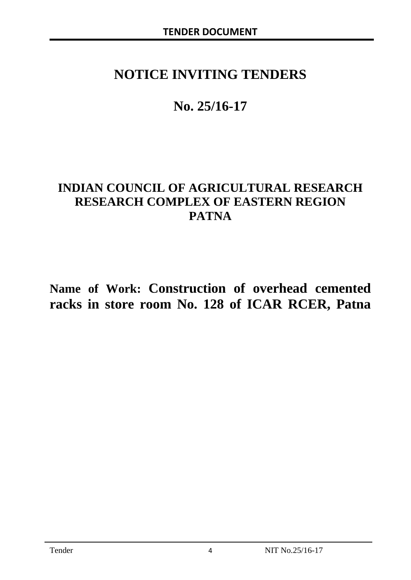# **NOTICE INVITING TENDERS**

# **No. 25/16-17**

# **INDIAN COUNCIL OF AGRICULTURAL RESEARCH RESEARCH COMPLEX OF EASTERN REGION PATNA**

**Name of Work: Construction of overhead cemented racks in store room No. 128 of ICAR RCER, Patna**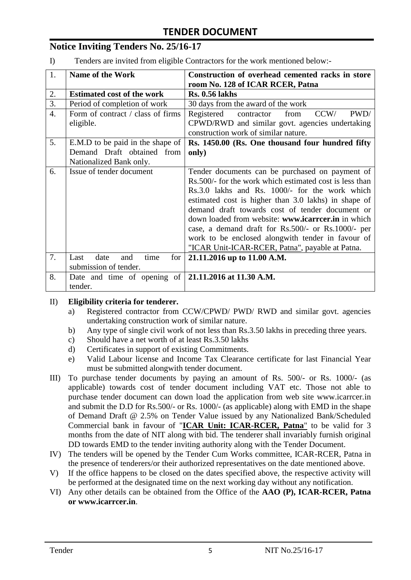# **Notice Inviting Tenders No. 25/16-17**

I) Tenders are invited from eligible Contractors for the work mentioned below:-

| 1.               | <b>Name of the Work</b>                                 | Construction of overhead cemented racks in store<br>room No. 128 of ICAR RCER, Patna                                                        |  |  |
|------------------|---------------------------------------------------------|---------------------------------------------------------------------------------------------------------------------------------------------|--|--|
| 2.               | <b>Estimated cost of the work</b>                       | <b>Rs. 0.56 lakhs</b>                                                                                                                       |  |  |
| 3.               | Period of completion of work                            | 30 days from the award of the work                                                                                                          |  |  |
| $\overline{4}$ . | Form of contract / class of firms<br>eligible.          | PWD/<br>Registered<br>contractor<br>from<br>CCW/<br>CPWD/RWD and similar govt. agencies undertaking<br>construction work of similar nature. |  |  |
| 5.               | E.M.D to be paid in the shape of                        | Rs. 1450.00 (Rs. One thousand four hundred fifty                                                                                            |  |  |
|                  | Demand Draft obtained from<br>Nationalized Bank only.   | only)                                                                                                                                       |  |  |
| 6.               | Issue of tender document                                | Tender documents can be purchased on payment of                                                                                             |  |  |
|                  |                                                         | Rs. 500/- for the work which estimated cost is less than                                                                                    |  |  |
|                  |                                                         | Rs.3.0 lakhs and Rs. 1000/- for the work which                                                                                              |  |  |
|                  |                                                         | estimated cost is higher than 3.0 lakhs) in shape of                                                                                        |  |  |
|                  |                                                         | demand draft towards cost of tender document or                                                                                             |  |  |
|                  |                                                         | down loaded from website: www.icarreer.in in which                                                                                          |  |  |
|                  |                                                         | case, a demand draft for Rs.500/- or Rs.1000/- per                                                                                          |  |  |
|                  |                                                         | work to be enclosed alongwith tender in favour of                                                                                           |  |  |
|                  |                                                         | "ICAR Unit-ICAR-RCER, Patna", payable at Patna.                                                                                             |  |  |
| 7.               | time<br>date<br>for<br>Last<br>and                      | 21.11.2016 up to 11.00 A.M.                                                                                                                 |  |  |
|                  | submission of tender.                                   |                                                                                                                                             |  |  |
| 8.               | Date and time of opening of $ 21.11.2016$ at 11.30 A.M. |                                                                                                                                             |  |  |
|                  | tender.                                                 |                                                                                                                                             |  |  |

#### II) **Eligibility criteria for tenderer.**

- a) Registered contractor from CCW/CPWD/ PWD/ RWD and similar govt. agencies undertaking construction work of similar nature.
- b) Any type of single civil work of not less than Rs.3.50 lakhs in preceding three years.
- c) Should have a net worth of at least Rs.3.50 lakhs
- d) Certificates in support of existing Commitments.
- e) Valid Labour license and Income Tax Clearance certificate for last Financial Year must be submitted alongwith tender document.
- III) To purchase tender documents by paying an amount of Rs. 500/- or Rs. 1000/- (as applicable) towards cost of tender document including VAT etc. Those not able to purchase tender document can down load the application from web site www.icarrcer.in and submit the D.D for Rs.500/- or Rs. 1000/- (as applicable) along with EMD in the shape of Demand Draft @ 2.5% on Tender Value issued by any Nationalized Bank/Scheduled Commercial bank in favour of "**ICAR Unit: ICAR-RCER, Patna**" to be valid for 3 months from the date of NIT along with bid. The tenderer shall invariably furnish original DD towards EMD to the tender inviting authority along with the Tender Document.
- IV) The tenders will be opened by the Tender Cum Works committee, ICAR-RCER, Patna in the presence of tenderers/or their authorized representatives on the date mentioned above.
- V) If the office happens to be closed on the dates specified above, the respective activity will be performed at the designated time on the next working day without any notification.
- VI) Any other details can be obtained from the Office of the **AAO (P), ICAR-RCER, Patna or www.icarrcer.in**.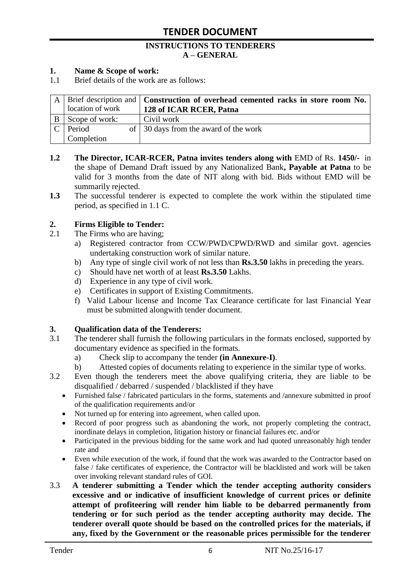#### **INSTRUCTIONS TO TENDERERS A – GENERAL**

#### **1. Name & Scope of work:**

1.1 Brief details of the work are as follows:

|                  | A   Brief description and   Construction of overhead cemented racks in store room No. |
|------------------|---------------------------------------------------------------------------------------|
| location of work | 128 of ICAR RCER, Patna                                                               |
| Scope of work:   | Civil work                                                                            |
| Period           | of 30 days from the award of the work                                                 |
| Completion       |                                                                                       |

- **1.2** The Director, ICAR-RCER, Patna invites tenders along with EMD of Rs. 1450/- in the shape of Demand Draft issued by any Nationalized Bank**, Payable at Patna** to be valid for 3 months from the date of NIT along with bid. Bids without EMD will be summarily rejected.
- **1.3** The successful tenderer is expected to complete the work within the stipulated time period, as specified in 1.1 C.

#### **2. Firms Eligible to Tender:**

- 2.1 The Firms who are having;
	- a) Registered contractor from CCW/PWD/CPWD/RWD and similar govt. agencies undertaking construction work of similar nature.
	- b) Any type of single civil work of not less than **Rs.3.50** lakhs in preceding the years.
	- c) Should have net worth of at least **Rs.3.50** Lakhs.
	- d) Experience in any type of civil work.
	- e) Certificates in support of Existing Commitments.
	- f) Valid Labour license and Income Tax Clearance certificate for last Financial Year must be submitted alongwith tender document.

#### **3. Qualification data of the Tenderers:**

- 3.1 The tenderer shall furnish the following particulars in the formats enclosed, supported by documentary evidence as specified in the formats.
	- a) Check slip to accompany the tender **(in Annexure-I)**.
	- b) Attested copies of documents relating to experience in the similar type of works.
- 3.2 Even though the tenderers meet the above qualifying criteria, they are liable to be disqualified / debarred / suspended / blacklisted if they have
	- Furnished false / fabricated particulars in the forms, statements and /annexure submitted in proof of the qualification requirements and/or
	- Not turned up for entering into agreement, when called upon.
	- Record of poor progress such as abandoning the work, not properly completing the contract, inordinate delays in completion, litigation history or financial failures etc. and/or
	- Participated in the previous bidding for the same work and had quoted unreasonably high tender rate and
	- Even while execution of the work, if found that the work was awarded to the Contractor based on false / fake certificates of experience, the Contractor will be blacklisted and work will be taken over invoking relevant standard rules of GOI.
- 3.3 **A tenderer submitting a Tender which the tender accepting authority considers excessive and or indicative of insufficient knowledge of current prices or definite attempt of profiteering will render him liable to be debarred permanently from tendering or for such period as the tender accepting authority may decide. The tenderer overall quote should be based on the controlled prices for the materials, if any, fixed by the Government or the reasonable prices permissible for the tenderer**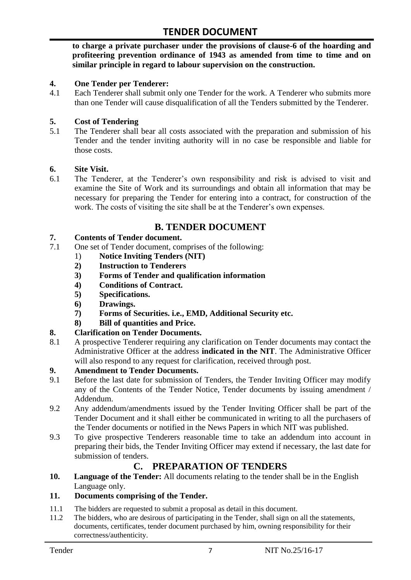**to charge a private purchaser under the provisions of clause-6 of the hoarding and profiteering prevention ordinance of 1943 as amended from time to time and on similar principle in regard to labour supervision on the construction.**

#### **4. One Tender per Tenderer:**

4.1 Each Tenderer shall submit only one Tender for the work. A Tenderer who submits more than one Tender will cause disqualification of all the Tenders submitted by the Tenderer.

#### **5. Cost of Tendering**

5.1 The Tenderer shall bear all costs associated with the preparation and submission of his Tender and the tender inviting authority will in no case be responsible and liable for those costs.

#### **6. Site Visit.**

6.1 The Tenderer, at the Tenderer"s own responsibility and risk is advised to visit and examine the Site of Work and its surroundings and obtain all information that may be necessary for preparing the Tender for entering into a contract, for construction of the work. The costs of visiting the site shall be at the Tenderer's own expenses.

### **B. TENDER DOCUMENT**

#### **7. Contents of Tender document.**

- 7.1 One set of Tender document, comprises of the following:
	- 1) **Notice Inviting Tenders (NIT)**
	- **2) Instruction to Tenderers**
	- **3) Forms of Tender and qualification information**
	- **4) Conditions of Contract.**
	- **5) Specifications.**
	- **6) Drawings.**
	- **7) Forms of Securities. i.e., EMD, Additional Security etc.**
	- **8) Bill of quantities and Price.**

#### **8. Clarification on Tender Documents.**

8.1 A prospective Tenderer requiring any clarification on Tender documents may contact the Administrative Officer at the address **indicated in the NIT**. The Administrative Officer will also respond to any request for clarification, received through post.

#### **9. Amendment to Tender Documents.**

- 9.1 Before the last date for submission of Tenders, the Tender Inviting Officer may modify any of the Contents of the Tender Notice, Tender documents by issuing amendment / Addendum.
- 9.2 Any addendum/amendments issued by the Tender Inviting Officer shall be part of the Tender Document and it shall either be communicated in writing to all the purchasers of the Tender documents or notified in the News Papers in which NIT was published.
- 9.3 To give prospective Tenderers reasonable time to take an addendum into account in preparing their bids, the Tender Inviting Officer may extend if necessary, the last date for submission of tenders.

# **C. PREPARATION OF TENDERS**

**10. Language of the Tender:** All documents relating to the tender shall be in the English Language only.

#### **11. Documents comprising of the Tender.**

- 11.1 The bidders are requested to submit a proposal as detail in this document.<br>11.2 The bidders, who are desirous of participating in the Tender, shall sign on
- The bidders, who are desirous of participating in the Tender, shall sign on all the statements, documents, certificates, tender document purchased by him, owning responsibility for their correctness/authenticity.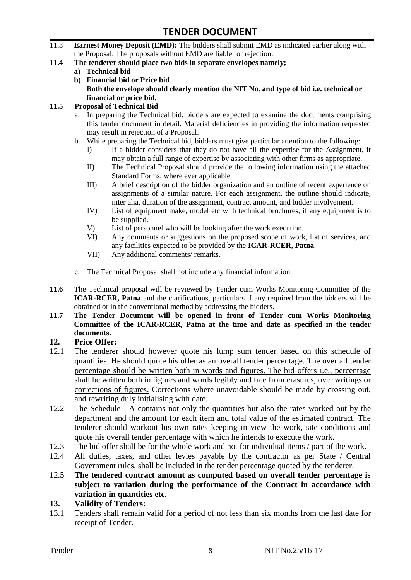- 11.3 **Earnest Money Deposit (EMD):** The bidders shall submit EMD as indicated earlier along with the Proposal. The proposals without EMD are liable for rejection.
- **11.4 The tenderer should place two bids in separate envelopes namely;**
	- **a) Technical bid**
	- **b) Financial bid or Price bid Both the envelope should clearly mention the NIT No. and type of bid i.e. technical or financial or price bid.**

#### **11.5 Proposal of Technical Bid**

- a. In preparing the Technical bid, bidders are expected to examine the documents comprising this tender document in detail. Material deficiencies in providing the information requested may result in rejection of a Proposal.
- b. While preparing the Technical bid, bidders must give particular attention to the following:
	- I) If a bidder considers that they do not have all the expertise for the Assignment, it may obtain a full range of expertise by associating with other firms as appropriate.
	- II) The Technical Proposal should provide the following information using the attached Standard Forms, where ever applicable
	- III) A brief description of the bidder organization and an outline of recent experience on assignments of a similar nature. For each assignment, the outline should indicate, inter alia, duration of the assignment, contract amount, and bidder involvement.
	- IV) List of equipment make, model etc with technical brochures, if any equipment is to be supplied.
	- V) List of personnel who will be looking after the work execution.
	- VI) Any comments or suggestions on the proposed scope of work, list of services, and any facilities expected to be provided by the **ICAR-RCER, Patna**.
	- VII) Any additional comments/ remarks.
- c. The Technical Proposal shall not include any financial information.
- **11.6** The Technical proposal will be reviewed by Tender cum Works Monitoring Committee of the **ICAR-RCER, Patna** and the clarifications, particulars if any required from the bidders will be obtained or in the conventional method by addressing the bidders.
- **11.7 The Tender Document will be opened in front of Tender cum Works Monitoring Committee of the ICAR-RCER, Patna at the time and date as specified in the tender documents.**

#### **12. Price Offer:**

- 12.1 The tenderer should however quote his lump sum tender based on this schedule of quantities. He should quote his offer as an overall tender percentage. The over all tender percentage should be written both in words and figures. The bid offers i.e., percentage shall be written both in figures and words legibly and free from erasures, over writings or corrections of figures. Corrections where unavoidable should be made by crossing out, and rewriting duly initialising with date.
- 12.2 The Schedule A contains not only the quantities but also the rates worked out by the department and the amount for each item and total value of the estimated contract. The tenderer should workout his own rates keeping in view the work, site conditions and quote his overall tender percentage with which he intends to execute the work.
- 12.3 The bid offer shall be for the whole work and not for individual items / part of the work.
- 12.4 All duties, taxes, and other levies payable by the contractor as per State / Central Government rules, shall be included in the tender percentage quoted by the tenderer.
- 12.5 **The tendered contract amount as computed based on overall tender percentage is subject to variation during the performance of the Contract in accordance with variation in quantities etc.**
- **13. Validity of Tenders:**
- 13.1 Tenders shall remain valid for a period of not less than six months from the last date for receipt of Tender.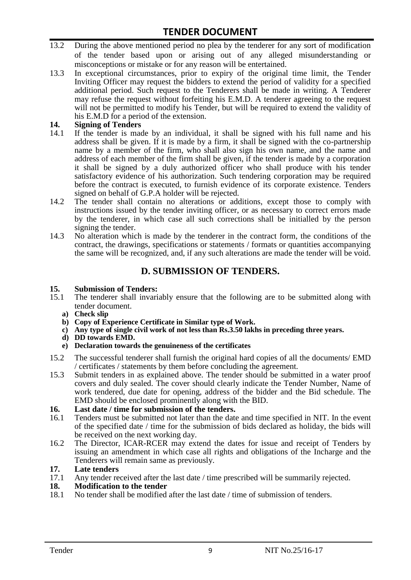- 13.2 During the above mentioned period no plea by the tenderer for any sort of modification of the tender based upon or arising out of any alleged misunderstanding or misconceptions or mistake or for any reason will be entertained.
- 13.3 In exceptional circumstances, prior to expiry of the original time limit, the Tender Inviting Officer may request the bidders to extend the period of validity for a specified additional period. Such request to the Tenderers shall be made in writing. A Tenderer may refuse the request without forfeiting his E.M.D. A tenderer agreeing to the request will not be permitted to modify his Tender, but will be required to extend the validity of his E.M.D for a period of the extension.

# 14. **Signing of Tenders**<br>14.1 If the tender is mag

- If the tender is made by an individual, it shall be signed with his full name and his address shall be given. If it is made by a firm, it shall be signed with the co-partnership name by a member of the firm, who shall also sign his own name, and the name and address of each member of the firm shall be given, if the tender is made by a corporation it shall be signed by a duly authorized officer who shall produce with his tender satisfactory evidence of his authorization. Such tendering corporation may be required before the contract is executed, to furnish evidence of its corporate existence. Tenders signed on behalf of G.P.A holder will be rejected.
- 14.2 The tender shall contain no alterations or additions, except those to comply with instructions issued by the tender inviting officer, or as necessary to correct errors made by the tenderer, in which case all such corrections shall be initialled by the person signing the tender.
- 14.3 No alteration which is made by the tenderer in the contract form, the conditions of the contract, the drawings, specifications or statements / formats or quantities accompanying the same will be recognized, and, if any such alterations are made the tender will be void.

# **D. SUBMISSION OF TENDERS.**

#### **15. Submission of Tenders:**

- 15.1 The tenderer shall invariably ensure that the following are to be submitted along with tender document.
	- **a) Check slip**
	- **b) Copy of Experience Certificate in Similar type of Work.**
	- **c) Any type of single civil work of not less than Rs.3.50 lakhs in preceding three years.**
	- **d) DD towards EMD.**
	- **e) Declaration towards the genuineness of the certificates**
- 15.2 The successful tenderer shall furnish the original hard copies of all the documents/ EMD / certificates / statements by them before concluding the agreement.
- 15.3 Submit tenders in as explained above. The tender should be submitted in a water proof covers and duly sealed. The cover should clearly indicate the Tender Number, Name of work tendered, due date for opening, address of the bidder and the Bid schedule. The EMD should be enclosed prominently along with the BID.

# **16. Last date / time for submission of the tenders.**

- 16.1 Tenders must be submitted not later than the date and time specified in NIT. In the event of the specified date / time for the submission of bids declared as holiday, the bids will be received on the next working day.
- 16.2 The Director, ICAR-RCER may extend the dates for issue and receipt of Tenders by issuing an amendment in which case all rights and obligations of the Incharge and the Tenderers will remain same as previously.

#### **17. Late tenders**

17.1 Any tender received after the last date / time prescribed will be summarily rejected.<br>18. Modification to the tender

# **18. Modification to the tender**<br>18.1 No tender shall be modified

No tender shall be modified after the last date / time of submission of tenders.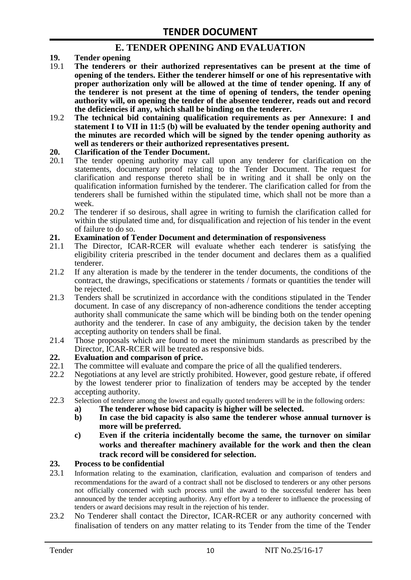### **E. TENDER OPENING AND EVALUATION**

- **19. Tender opening**
- 19.1 **The tenderers or their authorized representatives can be present at the time of opening of the tenders. Either the tenderer himself or one of his representative with proper authorization only will be allowed at the time of tender opening. If any of the tenderer is not present at the time of opening of tenders, the tender opening authority will, on opening the tender of the absentee tenderer, reads out and record the deficiencies if any, which shall be binding on the tenderer.**
- 19.2 **The technical bid containing qualification requirements as per Annexure: I and statement I to VII in 11:5 (b) will be evaluated by the tender opening authority and the minutes are recorded which will be signed by the tender opening authority as well as tenderers or their authorized representatives present.**

#### **20. Clarification of the Tender Document.**

- 20.1 The tender opening authority may call upon any tenderer for clarification on the statements, documentary proof relating to the Tender Document. The request for clarification and response thereto shall be in writing and it shall be only on the qualification information furnished by the tenderer. The clarification called for from the tenderers shall be furnished within the stipulated time, which shall not be more than a week.
- 20.2 The tenderer if so desirous, shall agree in writing to furnish the clarification called for within the stipulated time and, for disqualification and rejection of his tender in the event of failure to do so.

# **21. Examination of Tender Document and determination of responsiveness**

- 21.1 The Director, ICAR-RCER will evaluate whether each tenderer is satisfying the eligibility criteria prescribed in the tender document and declares them as a qualified tenderer.
- 21.2 If any alteration is made by the tenderer in the tender documents, the conditions of the contract, the drawings, specifications or statements / formats or quantities the tender will be rejected.
- 21.3 Tenders shall be scrutinized in accordance with the conditions stipulated in the Tender document. In case of any discrepancy of non-adherence conditions the tender accepting authority shall communicate the same which will be binding both on the tender opening authority and the tenderer. In case of any ambiguity, the decision taken by the tender accepting authority on tenders shall be final.
- 21.4 Those proposals which are found to meet the minimum standards as prescribed by the Director, ICAR-RCER will be treated as responsive bids.

# **22. Evaluation and comparison of price.**

- The committee will evaluate and compare the price of all the qualified tenderers.
- 22.2 Negotiations at any level are strictly prohibited. However, good gesture rebate, if offered by the lowest tenderer prior to finalization of tenders may be accepted by the tender accepting authority.
- 22.3 Selection of tenderer among the lowest and equally quoted tenderers will be in the following orders:
	- **a) The tenderer whose bid capacity is higher will be selected.**
	- **b) In case the bid capacity is also same the tenderer whose annual turnover is more will be preferred.**
	- **c) Even if the criteria incidentally become the same, the turnover on similar works and thereafter machinery available for the work and then the clean track record will be considered for selection.**

#### **23. Process to be confidential**

- 23.1 Information relating to the examination, clarification, evaluation and comparison of tenders and recommendations for the award of a contract shall not be disclosed to tenderers or any other persons not officially concerned with such process until the award to the successful tenderer has been announced by the tender accepting authority. Any effort by a tenderer to influence the processing of tenders or award decisions may result in the rejection of his tender.
- 23.2 No Tenderer shall contact the Director, ICAR-RCER or any authority concerned with finalisation of tenders on any matter relating to its Tender from the time of the Tender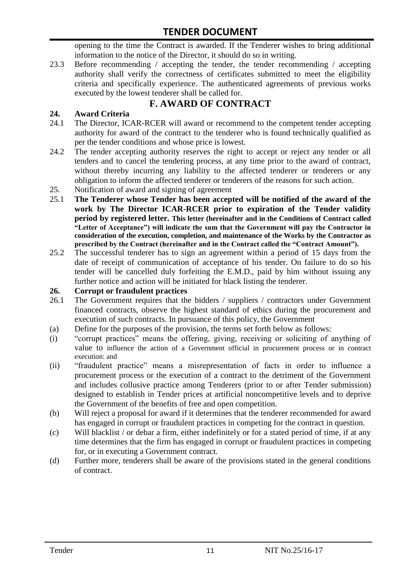opening to the time the Contract is awarded. If the Tenderer wishes to bring additional information to the notice of the Director, it should do so in writing.

23.3 Before recommending / accepting the tender, the tender recommending / accepting authority shall verify the correctness of certificates submitted to meet the eligibility criteria and specifically experience. The authenticated agreements of previous works executed by the lowest tenderer shall be called for.

# **F. AWARD OF CONTRACT**

#### **24. Award Criteria**

- 24.1 The Director, ICAR-RCER will award or recommend to the competent tender accepting authority for award of the contract to the tenderer who is found technically qualified as per the tender conditions and whose price is lowest.
- 24.2 The tender accepting authority reserves the right to accept or reject any tender or all tenders and to cancel the tendering process, at any time prior to the award of contract, without thereby incurring any liability to the affected tenderer or tenderers or any obligation to inform the affected tenderer or tenderers of the reasons for such action.
- 25. Notification of award and signing of agreement
- 25.1 **The Tenderer whose Tender has been accepted will be notified of the award of the work by The Director ICAR-RCER prior to expiration of the Tender validity period by registered letter. This letter (hereinafter and in the Conditions of Contract called "Letter of Acceptance") will indicate the sum that the Government will pay the Contractor in consideration of the execution, completion, and maintenance of the Works by the Contractor as prescribed by the Contract (hereinafter and in the Contract called the "Contract Amount").**
- 25.2 The successful tenderer has to sign an agreement within a period of 15 days from the date of receipt of communication of acceptance of his tender. On failure to do so his tender will be cancelled duly forfeiting the E.M.D., paid by him without issuing any further notice and action will be initiated for black listing the tenderer.

#### **26. Corrupt or fraudulent practices**

- 26.1 The Government requires that the bidders / suppliers / contractors under Government financed contracts, observe the highest standard of ethics during the procurement and execution of such contracts. In pursuance of this policy, the Government
- (a) Define for the purposes of the provision, the terms set forth below as follows:
- (i) "corrupt practices" means the offering, giving, receiving or soliciting of anything of value to influence the action of a Government official in procurement process or in contract execution: and
- (ii) "fraudulent practice" means a misrepresentation of facts in order to influence a procurement process or the execution of a contract to the detriment of the Government and includes collusive practice among Tenderers (prior to or after Tender submission) designed to establish in Tender prices at artificial noncompetitive levels and to deprive the Government of the benefits of free and open competition.
- (b) Will reject a proposal for award if it determines that the tenderer recommended for award has engaged in corrupt or fraudulent practices in competing for the contract in question.
- (c) Will blacklist / or debar a firm, either indefinitely or for a stated period of time, if at any time determines that the firm has engaged in corrupt or fraudulent practices in competing for, or in executing a Government contract.
- (d) Further more, tenderers shall be aware of the provisions stated in the general conditions of contract.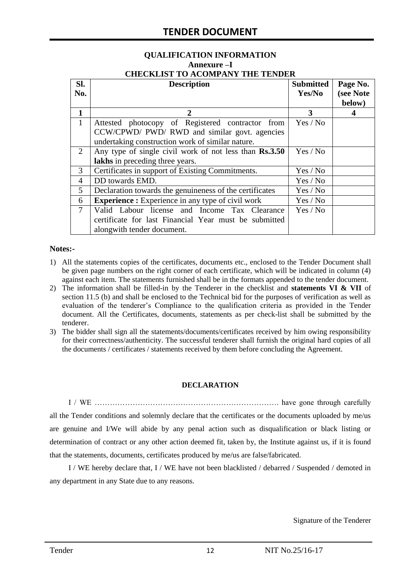# **QUALIFICATION INFORMATION Annexure –I**

| <b>CHECKLIST TO ACOMPANY THE TENDER</b> |  |
|-----------------------------------------|--|
|                                         |  |

| SI.            | <b>Description</b>                                                   | <b>Submitted</b> | Page No.  |  |
|----------------|----------------------------------------------------------------------|------------------|-----------|--|
| No.            |                                                                      | Yes/No           | (see Note |  |
|                |                                                                      |                  | below)    |  |
| 1              | 2                                                                    | 3                | 4         |  |
| $\mathbf{1}$   | Attested photocopy of Registered contractor from                     | Yes / No         |           |  |
|                | CCW/CPWD/ PWD/ RWD and similar govt. agencies                        |                  |           |  |
|                | undertaking construction work of similar nature.                     |                  |           |  |
| 2              | Any type of single civil work of not less than Rs.3.50               | Yes / No         |           |  |
|                | lakhs in preceding three years.                                      |                  |           |  |
| 3              | Certificates in support of Existing Commitments.                     | Yes / No         |           |  |
| $\overline{4}$ | DD towards EMD.                                                      | Yes / No         |           |  |
| 5              | Declaration towards the genuineness of the certificates<br>Yes / No  |                  |           |  |
| 6              | <b>Experience :</b> Experience in any type of civil work<br>Yes / No |                  |           |  |
| $\overline{7}$ | Valid Labour license and Income Tax Clearance                        | Yes / No         |           |  |
|                | certificate for last Financial Year must be submitted                |                  |           |  |
|                | alongwith tender document.                                           |                  |           |  |

#### **Notes:-**

- 1) All the statements copies of the certificates, documents etc., enclosed to the Tender Document shall be given page numbers on the right corner of each certificate, which will be indicated in column (4) against each item. The statements furnished shall be in the formats appended to the tender document.
- 2) The information shall be filled-in by the Tenderer in the checklist and **statements VI & VII** of section 11.5 (b) and shall be enclosed to the Technical bid for the purposes of verification as well as evaluation of the tenderer"s Compliance to the qualification criteria as provided in the Tender document. All the Certificates, documents, statements as per check-list shall be submitted by the tenderer.
- 3) The bidder shall sign all the statements/documents/certificates received by him owing responsibility for their correctness/authenticity. The successful tenderer shall furnish the original hard copies of all the documents / certificates / statements received by them before concluding the Agreement.

#### **DECLARATION**

I / WE ………………………………………………………………. have gone through carefully all the Tender conditions and solemnly declare that the certificates or the documents uploaded by me/us are genuine and I/We will abide by any penal action such as disqualification or black listing or determination of contract or any other action deemed fit, taken by, the Institute against us, if it is found that the statements, documents, certificates produced by me/us are false/fabricated.

I / WE hereby declare that, I / WE have not been blacklisted / debarred / Suspended / demoted in any department in any State due to any reasons.

Signature of the Tenderer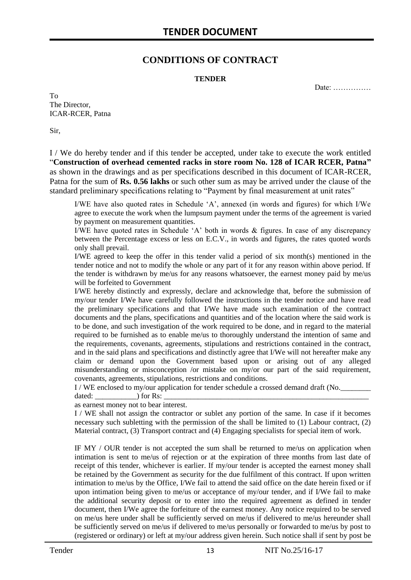### **CONDITIONS OF CONTRACT**

#### **TENDER**

Date: ……………

To The Director, ICAR-RCER, Patna

Sir,

I / We do hereby tender and if this tender be accepted, under take to execute the work entitled "**Construction of overhead cemented racks in store room No. 128 of ICAR RCER, Patna"**  as shown in the drawings and as per specifications described in this document of ICAR-RCER, Patna for the sum of **Rs. 0.56 lakhs** or such other sum as may be arrived under the clause of the standard preliminary specifications relating to "Payment by final measurement at unit rates"

I/WE have also quoted rates in Schedule "A", annexed (in words and figures) for which I/We agree to execute the work when the lumpsum payment under the terms of the agreement is varied by payment on measurement quantities.

I/WE have quoted rates in Schedule 'A' both in words  $\&$  figures. In case of any discrepancy between the Percentage excess or less on E.C.V., in words and figures, the rates quoted words only shall prevail.

I/WE agreed to keep the offer in this tender valid a period of six month(s) mentioned in the tender notice and not to modify the whole or any part of it for any reason within above period. If the tender is withdrawn by me/us for any reasons whatsoever, the earnest money paid by me/us will be forfeited to Government

I/WE hereby distinctly and expressly, declare and acknowledge that, before the submission of my/our tender I/We have carefully followed the instructions in the tender notice and have read the preliminary specifications and that I/We have made such examination of the contract documents and the plans, specifications and quantities and of the location where the said work is to be done, and such investigation of the work required to be done, and in regard to the material required to be furnished as to enable me/us to thoroughly understand the intention of same and the requirements, covenants, agreements, stipulations and restrictions contained in the contract, and in the said plans and specifications and distinctly agree that I/We will not hereafter make any claim or demand upon the Government based upon or arising out of any alleged misunderstanding or misconception /or mistake on my/or our part of the said requirement, covenants, agreements, stipulations, restrictions and conditions.

I / WE enclosed to my/our application for tender schedule a crossed demand draft (No.

dated: \_\_\_\_\_\_\_\_\_\_\_) for Rs: \_\_\_\_\_\_\_\_\_\_\_\_\_\_\_\_\_\_\_\_\_\_\_\_\_\_\_\_\_\_\_\_\_\_\_\_\_\_\_\_\_\_\_\_\_\_\_\_\_\_\_\_\_\_

as earnest money not to bear interest.

I / WE shall not assign the contractor or sublet any portion of the same. In case if it becomes necessary such subletting with the permission of the shall be limited to (1) Labour contract, (2) Material contract, (3) Transport contract and (4) Engaging specialists for special item of work.

IF MY / OUR tender is not accepted the sum shall be returned to me/us on application when intimation is sent to me/us of rejection or at the expiration of three months from last date of receipt of this tender, whichever is earlier. If my/our tender is accepted the earnest money shall be retained by the Government as security for the due fulfilment of this contract. If upon written intimation to me/us by the Office, I/We fail to attend the said office on the date herein fixed or if upon intimation being given to me/us or acceptance of my/our tender, and if I/We fail to make the additional security deposit or to enter into the required agreement as defined in tender document, then I/We agree the forfeiture of the earnest money. Any notice required to be served on me/us here under shall be sufficiently served on me/us if delivered to me/us hereunder shall be sufficiently served on me/us if delivered to me/us personally or forwarded to me/us by post to (registered or ordinary) or left at my/our address given herein. Such notice shall if sent by post be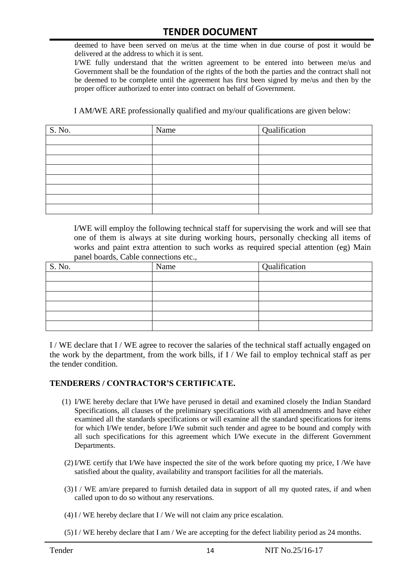deemed to have been served on me/us at the time when in due course of post it would be delivered at the address to which it is sent.

I/WE fully understand that the written agreement to be entered into between me/us and Government shall be the foundation of the rights of the both the parties and the contract shall not be deemed to be complete until the agreement has first been signed by me/us and then by the proper officer authorized to enter into contract on behalf of Government.

I AM/WE ARE professionally qualified and my/our qualifications are given below:

| S. No. | Name | Qualification |
|--------|------|---------------|
|        |      |               |
|        |      |               |
|        |      |               |
|        |      |               |
|        |      |               |
|        |      |               |
|        |      |               |
|        |      |               |

I/WE will employ the following technical staff for supervising the work and will see that one of them is always at site during working hours, personally checking all items of works and paint extra attention to such works as required special attention (eg) Main panel boards, Cable connections etc.,

| S. No. | Name | Qualification |
|--------|------|---------------|
|        |      |               |
|        |      |               |
|        |      |               |
|        |      |               |
|        |      |               |
|        |      |               |

I / WE declare that I / WE agree to recover the salaries of the technical staff actually engaged on the work by the department, from the work bills, if I / We fail to employ technical staff as per the tender condition.

#### **TENDERERS / CONTRACTOR'S CERTIFICATE.**

- (1) I/WE hereby declare that I/We have perused in detail and examined closely the Indian Standard Specifications, all clauses of the preliminary specifications with all amendments and have either examined all the standards specifications or will examine all the standard specifications for items for which I/We tender, before I/We submit such tender and agree to be bound and comply with all such specifications for this agreement which I/We execute in the different Government Departments.
- (2)I/WE certify that I/We have inspected the site of the work before quoting my price, I /We have satisfied about the quality, availability and transport facilities for all the materials.
- (3)I / WE am/are prepared to furnish detailed data in support of all my quoted rates, if and when called upon to do so without any reservations.
- $(4)$ I / WE hereby declare that I / We will not claim any price escalation.
- (5)I / WE hereby declare that I am / We are accepting for the defect liability period as 24 months.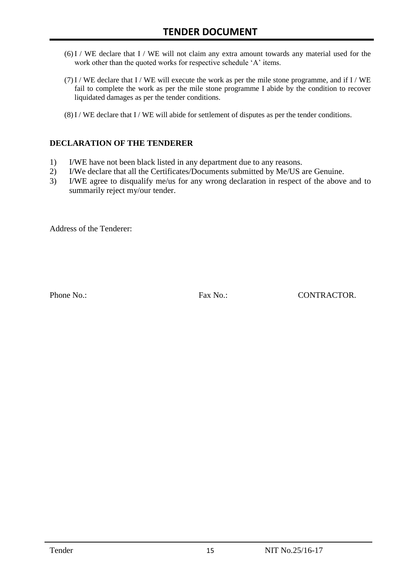- $(6)$ I / WE declare that I / WE will not claim any extra amount towards any material used for the work other than the quoted works for respective schedule 'A' items.
- $(7)$  I / WE declare that I / WE will execute the work as per the mile stone programme, and if I / WE fail to complete the work as per the mile stone programme I abide by the condition to recover liquidated damages as per the tender conditions.
- (8)I / WE declare that I / WE will abide for settlement of disputes as per the tender conditions.

#### **DECLARATION OF THE TENDERER**

- 1) I/WE have not been black listed in any department due to any reasons.
- 2) I/We declare that all the Certificates/Documents submitted by Me/US are Genuine.
- 3) I/WE agree to disqualify me/us for any wrong declaration in respect of the above and to summarily reject my/our tender.

Address of the Tenderer:

Phone No.: Fax No.: Fax No.: CONTRACTOR.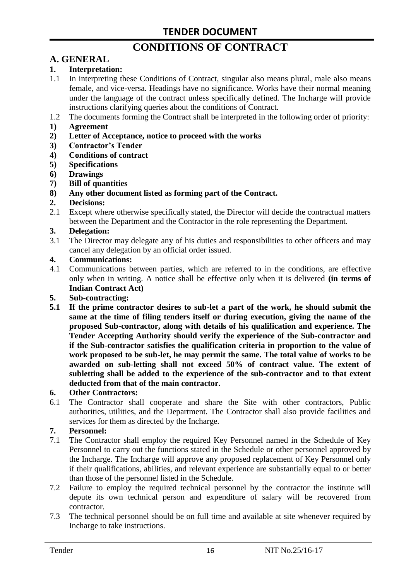# **CONDITIONS OF CONTRACT**

# **A. GENERAL**

#### **1. Interpretation:**

- 1.1 In interpreting these Conditions of Contract, singular also means plural, male also means female, and vice-versa. Headings have no significance. Works have their normal meaning under the language of the contract unless specifically defined. The Incharge will provide instructions clarifying queries about the conditions of Contract.
- 1.2 The documents forming the Contract shall be interpreted in the following order of priority:
- **1) Agreement**
- **2) Letter of Acceptance, notice to proceed with the works**
- **3) Contractor's Tender**
- **4) Conditions of contract**
- **5) Specifications**
- **6) Drawings**
- **7) Bill of quantities**
- **8) Any other document listed as forming part of the Contract.**

#### **2. Decisions:**

2.1 Except where otherwise specifically stated, the Director will decide the contractual matters between the Department and the Contractor in the role representing the Department.

#### **3. Delegation:**

3.1 The Director may delegate any of his duties and responsibilities to other officers and may cancel any delegation by an official order issued.

#### **4. Communications:**

4.1 Communications between parties, which are referred to in the conditions, are effective only when in writing. A notice shall be effective only when it is delivered **(in terms of Indian Contract Act)**

#### **5. Sub-contracting:**

**5.1 If the prime contractor desires to sub-let a part of the work, he should submit the same at the time of filing tenders itself or during execution, giving the name of the proposed Sub-contractor, along with details of his qualification and experience. The Tender Accepting Authority should verify the experience of the Sub-contractor and if the Sub-contractor satisfies the qualification criteria in proportion to the value of work proposed to be sub-let, he may permit the same. The total value of works to be awarded on sub-letting shall not exceed 50% of contract value. The extent of subletting shall be added to the experience of the sub-contractor and to that extent deducted from that of the main contractor.**

#### **6. Other Contractors:**

6.1 The Contractor shall cooperate and share the Site with other contractors, Public authorities, utilities, and the Department. The Contractor shall also provide facilities and services for them as directed by the Incharge.

#### **7. Personnel:**

- 7.1 The Contractor shall employ the required Key Personnel named in the Schedule of Key Personnel to carry out the functions stated in the Schedule or other personnel approved by the Incharge. The Incharge will approve any proposed replacement of Key Personnel only if their qualifications, abilities, and relevant experience are substantially equal to or better than those of the personnel listed in the Schedule.
- 7.2 Failure to employ the required technical personnel by the contractor the institute will depute its own technical person and expenditure of salary will be recovered from contractor.
- 7.3 The technical personnel should be on full time and available at site whenever required by Incharge to take instructions.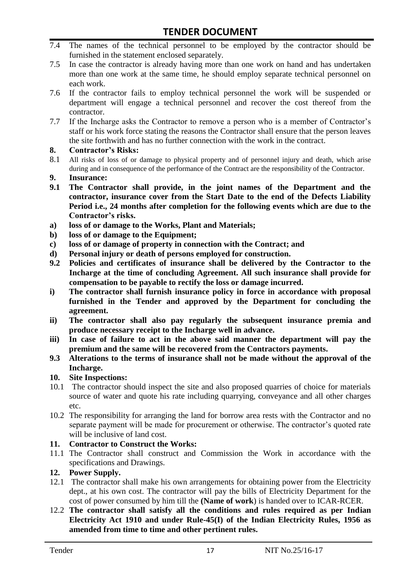- 7.4 The names of the technical personnel to be employed by the contractor should be furnished in the statement enclosed separately.
- 7.5 In case the contractor is already having more than one work on hand and has undertaken more than one work at the same time, he should employ separate technical personnel on each work.
- 7.6 If the contractor fails to employ technical personnel the work will be suspended or department will engage a technical personnel and recover the cost thereof from the contractor.
- 7.7 If the Incharge asks the Contractor to remove a person who is a member of Contractor"s staff or his work force stating the reasons the Contractor shall ensure that the person leaves the site forthwith and has no further connection with the work in the contract.

#### **8. Contractor's Risks:**

- 8.1 All risks of loss of or damage to physical property and of personnel injury and death, which arise during and in consequence of the performance of the Contract are the responsibility of the Contractor.
- **9. Insurance:**
- **9.1 The Contractor shall provide, in the joint names of the Department and the contractor, insurance cover from the Start Date to the end of the Defects Liability Period i.e., 24 months after completion for the following events which are due to the Contractor's risks.**
- **a) loss of or damage to the Works, Plant and Materials;**
- **b) loss of or damage to the Equipment;**
- **c) loss of or damage of property in connection with the Contract; and**
- **d) Personal injury or death of persons employed for construction.**
- **9.2 Policies and certificates of insurance shall be delivered by the Contractor to the Incharge at the time of concluding Agreement. All such insurance shall provide for compensation to be payable to rectify the loss or damage incurred.**
- **i) The contractor shall furnish insurance policy in force in accordance with proposal furnished in the Tender and approved by the Department for concluding the agreement.**
- **ii) The contractor shall also pay regularly the subsequent insurance premia and produce necessary receipt to the Incharge well in advance.**
- **iii) In case of failure to act in the above said manner the department will pay the premium and the same will be recovered from the Contractors payments.**
- **9.3 Alterations to the terms of insurance shall not be made without the approval of the Incharge.**

#### **10. Site Inspections:**

- 10.1 The contractor should inspect the site and also proposed quarries of choice for materials source of water and quote his rate including quarrying, conveyance and all other charges etc.
- 10.2 The responsibility for arranging the land for borrow area rests with the Contractor and no separate payment will be made for procurement or otherwise. The contractor's quoted rate will be inclusive of land cost.

#### **11. Contractor to Construct the Works:**

11.1 The Contractor shall construct and Commission the Work in accordance with the specifications and Drawings.

#### **12. Power Supply.**

- 12.1 The contractor shall make his own arrangements for obtaining power from the Electricity dept., at his own cost. The contractor will pay the bills of Electricity Department for the cost of power consumed by him till the **(Name of work**) is handed over to ICAR-RCER.
- 12.2 **The contractor shall satisfy all the conditions and rules required as per Indian Electricity Act 1910 and under Rule-45(I) of the Indian Electricity Rules, 1956 as amended from time to time and other pertinent rules.**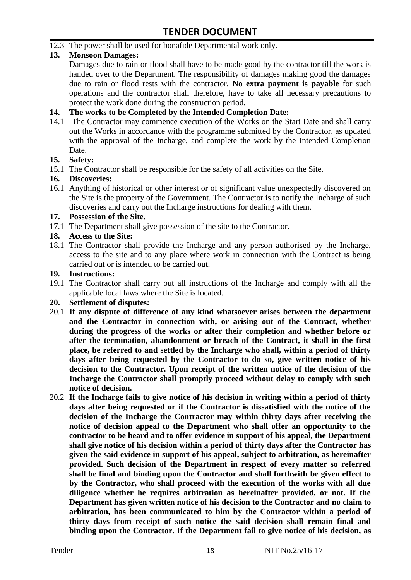12.3 The power shall be used for bonafide Departmental work only.

#### **13. Monsoon Damages:**

Damages due to rain or flood shall have to be made good by the contractor till the work is handed over to the Department. The responsibility of damages making good the damages due to rain or flood rests with the contractor. **No extra payment is payable** for such operations and the contractor shall therefore, have to take all necessary precautions to protect the work done during the construction period.

#### **14. The works to be Completed by the Intended Completion Date:**

14.1 The Contractor may commence execution of the Works on the Start Date and shall carry out the Works in accordance with the programme submitted by the Contractor, as updated with the approval of the Incharge, and complete the work by the Intended Completion Date.

#### **15. Safety:**

15.1 The Contractor shall be responsible for the safety of all activities on the Site.

#### **16. Discoveries:**

16.1 Anything of historical or other interest or of significant value unexpectedly discovered on the Site is the property of the Government. The Contractor is to notify the Incharge of such discoveries and carry out the Incharge instructions for dealing with them.

#### **17. Possession of the Site.**

17.1 The Department shall give possession of the site to the Contractor.

#### **18. Access to the Site:**

18.1 The Contractor shall provide the Incharge and any person authorised by the Incharge, access to the site and to any place where work in connection with the Contract is being carried out or is intended to be carried out.

#### **19. Instructions:**

- 19.1 The Contractor shall carry out all instructions of the Incharge and comply with all the applicable local laws where the Site is located.
- **20. Settlement of disputes:**
- 20.1 **If any dispute of difference of any kind whatsoever arises between the department and the Contractor in connection with, or arising out of the Contract, whether during the progress of the works or after their completion and whether before or after the termination, abandonment or breach of the Contract, it shall in the first place, be referred to and settled by the Incharge who shall, within a period of thirty days after being requested by the Contractor to do so, give written notice of his decision to the Contractor. Upon receipt of the written notice of the decision of the Incharge the Contractor shall promptly proceed without delay to comply with such notice of decision.**
- 20.2 **If the Incharge fails to give notice of his decision in writing within a period of thirty days after being requested or if the Contractor is dissatisfied with the notice of the decision of the Incharge the Contractor may within thirty days after receiving the notice of decision appeal to the Department who shall offer an opportunity to the contractor to be heard and to offer evidence in support of his appeal, the Department shall give notice of his decision within a period of thirty days after the Contractor has given the said evidence in support of his appeal, subject to arbitration, as hereinafter provided. Such decision of the Department in respect of every matter so referred shall be final and binding upon the Contractor and shall forthwith be given effect to by the Contractor, who shall proceed with the execution of the works with all due diligence whether he requires arbitration as hereinafter provided, or not. If the Department has given written notice of his decision to the Contractor and no claim to arbitration, has been communicated to him by the Contractor within a period of thirty days from receipt of such notice the said decision shall remain final and binding upon the Contractor. If the Department fail to give notice of his decision, as**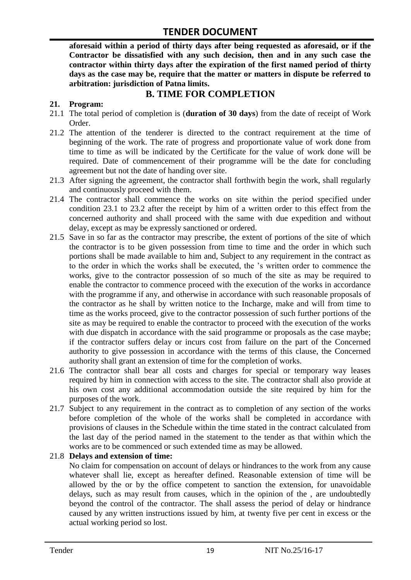**aforesaid within a period of thirty days after being requested as aforesaid, or if the Contractor be dissatisfied with any such decision, then and in any such case the contractor within thirty days after the expiration of the first named period of thirty days as the case may be, require that the matter or matters in dispute be referred to arbitration: jurisdiction of Patna limits.**

### **B. TIME FOR COMPLETION**

#### **21. Program:**

- 21.1 The total period of completion is (**duration of 30 days**) from the date of receipt of Work Order.
- 21.2 The attention of the tenderer is directed to the contract requirement at the time of beginning of the work. The rate of progress and proportionate value of work done from time to time as will be indicated by the Certificate for the value of work done will be required. Date of commencement of their programme will be the date for concluding agreement but not the date of handing over site.
- 21.3 After signing the agreement, the contractor shall forthwith begin the work, shall regularly and continuously proceed with them.
- 21.4 The contractor shall commence the works on site within the period specified under condition 23.1 to 23.2 after the receipt by him of a written order to this effect from the concerned authority and shall proceed with the same with due expedition and without delay, except as may be expressly sanctioned or ordered.
- 21.5 Save in so far as the contractor may prescribe, the extent of portions of the site of which the contractor is to be given possession from time to time and the order in which such portions shall be made available to him and, Subject to any requirement in the contract as to the order in which the works shall be executed, the "s written order to commence the works, give to the contractor possession of so much of the site as may be required to enable the contractor to commence proceed with the execution of the works in accordance with the programme if any, and otherwise in accordance with such reasonable proposals of the contractor as he shall by written notice to the Incharge, make and will from time to time as the works proceed, give to the contractor possession of such further portions of the site as may be required to enable the contractor to proceed with the execution of the works with due dispatch in accordance with the said programme or proposals as the case maybe; if the contractor suffers delay or incurs cost from failure on the part of the Concerned authority to give possession in accordance with the terms of this clause, the Concerned authority shall grant an extension of time for the completion of works.
- 21.6 The contractor shall bear all costs and charges for special or temporary way leases required by him in connection with access to the site. The contractor shall also provide at his own cost any additional accommodation outside the site required by him for the purposes of the work.
- 21.7 Subject to any requirement in the contract as to completion of any section of the works before completion of the whole of the works shall be completed in accordance with provisions of clauses in the Schedule within the time stated in the contract calculated from the last day of the period named in the statement to the tender as that within which the works are to be commenced or such extended time as may be allowed.

#### 21.8 **Delays and extension of time:**

No claim for compensation on account of delays or hindrances to the work from any cause whatever shall lie, except as hereafter defined. Reasonable extension of time will be allowed by the or by the office competent to sanction the extension, for unavoidable delays, such as may result from causes, which in the opinion of the , are undoubtedly beyond the control of the contractor. The shall assess the period of delay or hindrance caused by any written instructions issued by him, at twenty five per cent in excess or the actual working period so lost.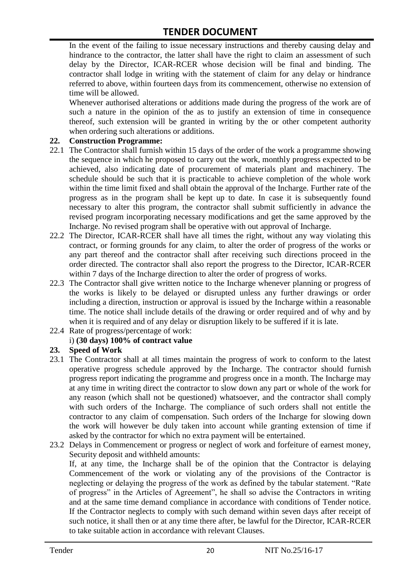In the event of the failing to issue necessary instructions and thereby causing delay and hindrance to the contractor, the latter shall have the right to claim an assessment of such delay by the Director, ICAR-RCER whose decision will be final and binding. The contractor shall lodge in writing with the statement of claim for any delay or hindrance referred to above, within fourteen days from its commencement, otherwise no extension of time will be allowed.

Whenever authorised alterations or additions made during the progress of the work are of such a nature in the opinion of the as to justify an extension of time in consequence thereof, such extension will be granted in writing by the or other competent authority when ordering such alterations or additions.

#### **22. Construction Programme:**

- 22.1 The Contractor shall furnish within 15 days of the order of the work a programme showing the sequence in which he proposed to carry out the work, monthly progress expected to be achieved, also indicating date of procurement of materials plant and machinery. The schedule should be such that it is practicable to achieve completion of the whole work within the time limit fixed and shall obtain the approval of the Incharge. Further rate of the progress as in the program shall be kept up to date. In case it is subsequently found necessary to alter this program, the contractor shall submit sufficiently in advance the revised program incorporating necessary modifications and get the same approved by the Incharge. No revised program shall be operative with out approval of Incharge.
- 22.2 The Director, ICAR-RCER shall have all times the right, without any way violating this contract, or forming grounds for any claim, to alter the order of progress of the works or any part thereof and the contractor shall after receiving such directions proceed in the order directed. The contractor shall also report the progress to the Director, ICAR-RCER within 7 days of the Incharge direction to alter the order of progress of works.
- 22.3 The Contractor shall give written notice to the Incharge whenever planning or progress of the works is likely to be delayed or disrupted unless any further drawings or order including a direction, instruction or approval is issued by the Incharge within a reasonable time. The notice shall include details of the drawing or order required and of why and by when it is required and of any delay or disruption likely to be suffered if it is late.
- 22.4 Rate of progress/percentage of work:

#### i) **(30 days) 100% of contract value**

#### **23. Speed of Work**

- 23.1 The Contractor shall at all times maintain the progress of work to conform to the latest operative progress schedule approved by the Incharge. The contractor should furnish progress report indicating the programme and progress once in a month. The Incharge may at any time in writing direct the contractor to slow down any part or whole of the work for any reason (which shall not be questioned) whatsoever, and the contractor shall comply with such orders of the Incharge. The compliance of such orders shall not entitle the contractor to any claim of compensation. Such orders of the Incharge for slowing down the work will however be duly taken into account while granting extension of time if asked by the contractor for which no extra payment will be entertained.
- 23.2 Delays in Commencement or progress or neglect of work and forfeiture of earnest money, Security deposit and withheld amounts:

If, at any time, the Incharge shall be of the opinion that the Contractor is delaying Commencement of the work or violating any of the provisions of the Contractor is neglecting or delaying the progress of the work as defined by the tabular statement. "Rate of progress" in the Articles of Agreement", he shall so advise the Contractors in writing and at the same time demand compliance in accordance with conditions of Tender notice. If the Contractor neglects to comply with such demand within seven days after receipt of such notice, it shall then or at any time there after, be lawful for the Director, ICAR-RCER to take suitable action in accordance with relevant Clauses.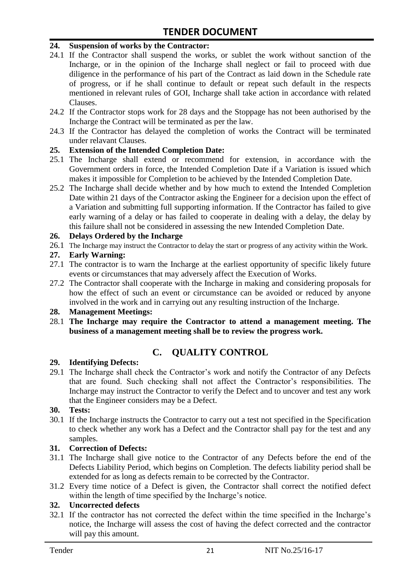#### **24. Suspension of works by the Contractor:**

- 24.1 If the Contractor shall suspend the works, or sublet the work without sanction of the Incharge, or in the opinion of the Incharge shall neglect or fail to proceed with due diligence in the performance of his part of the Contract as laid down in the Schedule rate of progress, or if he shall continue to default or repeat such default in the respects mentioned in relevant rules of GOI, Incharge shall take action in accordance with related Clauses.
- 24.2 If the Contractor stops work for 28 days and the Stoppage has not been authorised by the Incharge the Contract will be terminated as per the law.
- 24.3 If the Contractor has delayed the completion of works the Contract will be terminated under relavant Clauses.

#### **25. Extension of the Intended Completion Date:**

- 25.1 The Incharge shall extend or recommend for extension, in accordance with the Government orders in force, the Intended Completion Date if a Variation is issued which makes it impossible for Completion to be achieved by the Intended Completion Date.
- 25.2 The Incharge shall decide whether and by how much to extend the Intended Completion Date within 21 days of the Contractor asking the Engineer for a decision upon the effect of a Variation and submitting full supporting information. If the Contractor has failed to give early warning of a delay or has failed to cooperate in dealing with a delay, the delay by this failure shall not be considered in assessing the new Intended Completion Date.

#### **26. Delays Ordered by the Incharge**

26.1 The Incharge may instruct the Contractor to delay the start or progress of any activity within the Work.

#### **27. Early Warning:**

- 27.1 The contractor is to warn the Incharge at the earliest opportunity of specific likely future events or circumstances that may adversely affect the Execution of Works.
- 27.2 The Contractor shall cooperate with the Incharge in making and considering proposals for how the effect of such an event or circumstance can be avoided or reduced by anyone involved in the work and in carrying out any resulting instruction of the Incharge.

#### **28. Management Meetings:**

28.1 **The Incharge may require the Contractor to attend a management meeting. The business of a management meeting shall be to review the progress work.**

# **C. QUALITY CONTROL**

#### **29. Identifying Defects:**

29.1 The Incharge shall check the Contractor's work and notify the Contractor of any Defects that are found. Such checking shall not affect the Contractor"s responsibilities. The Incharge may instruct the Contractor to verify the Defect and to uncover and test any work that the Engineer considers may be a Defect.

#### **30. Tests:**

30.1 If the Incharge instructs the Contractor to carry out a test not specified in the Specification to check whether any work has a Defect and the Contractor shall pay for the test and any samples.

#### **31. Correction of Defects:**

- 31.1 The Incharge shall give notice to the Contractor of any Defects before the end of the Defects Liability Period, which begins on Completion. The defects liability period shall be extended for as long as defects remain to be corrected by the Contractor.
- 31.2 Every time notice of a Defect is given, the Contractor shall correct the notified defect within the length of time specified by the Incharge's notice.

#### **32. Uncorrected defects**

32.1 If the contractor has not corrected the defect within the time specified in the Incharge"s notice, the Incharge will assess the cost of having the defect corrected and the contractor will pay this amount.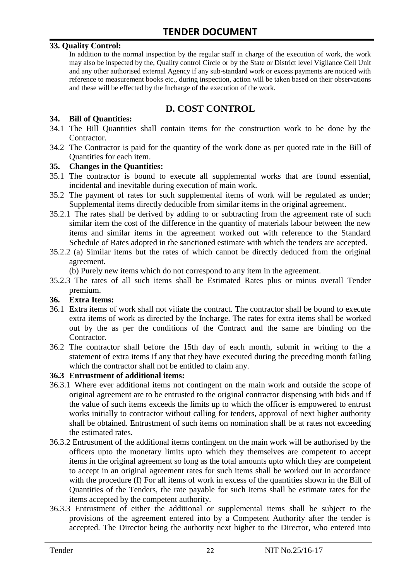#### **33. Quality Control:**

In addition to the normal inspection by the regular staff in charge of the execution of work, the work may also be inspected by the, Quality control Circle or by the State or District level Vigilance Cell Unit and any other authorised external Agency if any sub-standard work or excess payments are noticed with reference to measurement books etc., during inspection, action will be taken based on their observations and these will be effected by the Incharge of the execution of the work.

## **D. COST CONTROL**

#### **34. Bill of Quantities:**

- 34.1 The Bill Quantities shall contain items for the construction work to be done by the Contractor.
- 34.2 The Contractor is paid for the quantity of the work done as per quoted rate in the Bill of Quantities for each item.

#### **35. Changes in the Quantities:**

- 35.1 The contractor is bound to execute all supplemental works that are found essential, incidental and inevitable during execution of main work.
- 35.2 The payment of rates for such supplemental items of work will be regulated as under; Supplemental items directly deducible from similar items in the original agreement.
- 35.2.1 The rates shall be derived by adding to or subtracting from the agreement rate of such similar item the cost of the difference in the quantity of materials labour between the new items and similar items in the agreement worked out with reference to the Standard Schedule of Rates adopted in the sanctioned estimate with which the tenders are accepted.
- 35.2.2 (a) Similar items but the rates of which cannot be directly deduced from the original agreement.

(b) Purely new items which do not correspond to any item in the agreement.

35.2.3 The rates of all such items shall be Estimated Rates plus or minus overall Tender premium.

#### **36. Extra Items:**

- 36.1 Extra items of work shall not vitiate the contract. The contractor shall be bound to execute extra items of work as directed by the Incharge. The rates for extra items shall be worked out by the as per the conditions of the Contract and the same are binding on the Contractor.
- 36.2 The contractor shall before the 15th day of each month, submit in writing to the a statement of extra items if any that they have executed during the preceding month failing which the contractor shall not be entitled to claim any.

#### **36.3 Entrustment of additional items:**

- 36.3.1 Where ever additional items not contingent on the main work and outside the scope of original agreement are to be entrusted to the original contractor dispensing with bids and if the value of such items exceeds the limits up to which the officer is empowered to entrust works initially to contractor without calling for tenders, approval of next higher authority shall be obtained. Entrustment of such items on nomination shall be at rates not exceeding the estimated rates.
- 36.3.2 Entrustment of the additional items contingent on the main work will be authorised by the officers upto the monetary limits upto which they themselves are competent to accept items in the original agreement so long as the total amounts upto which they are competent to accept in an original agreement rates for such items shall be worked out in accordance with the procedure (I) For all items of work in excess of the quantities shown in the Bill of Quantities of the Tenders, the rate payable for such items shall be estimate rates for the items accepted by the competent authority.
- 36.3.3 Entrustment of either the additional or supplemental items shall be subject to the provisions of the agreement entered into by a Competent Authority after the tender is accepted. The Director being the authority next higher to the Director, who entered into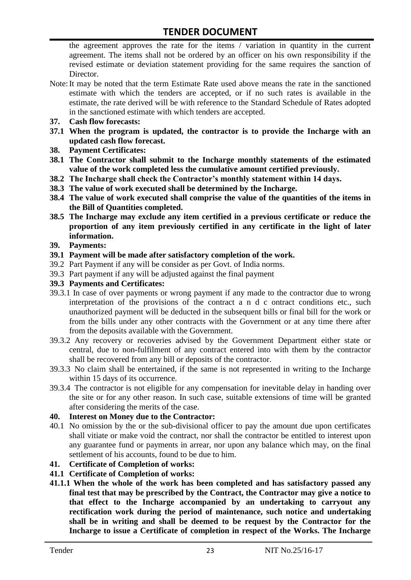the agreement approves the rate for the items / variation in quantity in the current agreement. The items shall not be ordered by an officer on his own responsibility if the revised estimate or deviation statement providing for the same requires the sanction of Director.

- Note:It may be noted that the term Estimate Rate used above means the rate in the sanctioned estimate with which the tenders are accepted, or if no such rates is available in the estimate, the rate derived will be with reference to the Standard Schedule of Rates adopted in the sanctioned estimate with which tenders are accepted.
- **37. Cash flow forecasts:**
- **37.1 When the program is updated, the contractor is to provide the Incharge with an updated cash flow forecast.**
- **38. Payment Certificates:**
- **38.1 The Contractor shall submit to the Incharge monthly statements of the estimated value of the work completed less the cumulative amount certified previously.**
- **38.2 The Incharge shall check the Contractor's monthly statement within 14 days.**
- **38.3 The value of work executed shall be determined by the Incharge.**
- **38.4 The value of work executed shall comprise the value of the quantities of the items in the Bill of Quantities completed.**
- **38.5 The Incharge may exclude any item certified in a previous certificate or reduce the proportion of any item previously certified in any certificate in the light of later information.**
- **39. Payments:**
- **39.1 Payment will be made after satisfactory completion of the work.**
- 39.2 Part Payment if any will be consider as per Govt. of India norms.
- 39.3 Part payment if any will be adjusted against the final payment
- **39.3 Payments and Certificates:**
- 39.3.1 In case of over payments or wrong payment if any made to the contractor due to wrong interpretation of the provisions of the contract a n d c ontract conditions etc., such unauthorized payment will be deducted in the subsequent bills or final bill for the work or from the bills under any other contracts with the Government or at any time there after from the deposits available with the Government.
- 39.3.2 Any recovery or recoveries advised by the Government Department either state or central, due to non-fulfilment of any contract entered into with them by the contractor shall be recovered from any bill or deposits of the contractor.
- 39.3.3 No claim shall be entertained, if the same is not represented in writing to the Incharge within 15 days of its occurrence.
- 39.3.4 The contractor is not eligible for any compensation for inevitable delay in handing over the site or for any other reason. In such case, suitable extensions of time will be granted after considering the merits of the case.

#### **40. Interest on Money due to the Contractor:**

- 40.1 No omission by the or the sub-divisional officer to pay the amount due upon certificates shall vitiate or make void the contract, nor shall the contractor be entitled to interest upon any guarantee fund or payments in arrear, nor upon any balance which may, on the final settlement of his accounts, found to be due to him.
- **41. Certificate of Completion of works:**
- **41.1 Certificate of Completion of works:**
- **41.1.1 When the whole of the work has been completed and has satisfactory passed any final test that may be prescribed by the Contract, the Contractor may give a notice to that effect to the Incharge accompanied by an undertaking to carryout any rectification work during the period of maintenance, such notice and undertaking shall be in writing and shall be deemed to be request by the Contractor for the Incharge to issue a Certificate of completion in respect of the Works. The Incharge**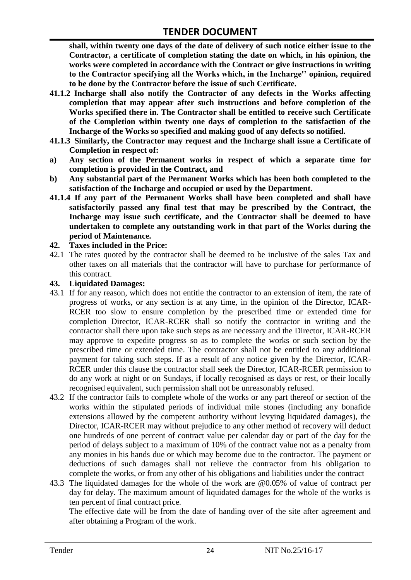**shall, within twenty one days of the date of delivery of such notice either issue to the Contractor, a certificate of completion stating the date on which, in his opinion, the works were completed in accordance with the Contract or give instructions in writing to the Contractor specifying all the Works which, in the Incharge'' opinion, required to be done by the Contractor before the issue of such Certificate.**

- **41.1.2 Incharge shall also notify the Contractor of any defects in the Works affecting completion that may appear after such instructions and before completion of the Works specified there in. The Contractor shall be entitled to receive such Certificate of the Completion within twenty one days of completion to the satisfaction of the Incharge of the Works so specified and making good of any defects so notified.**
- **41.1.3 Similarly, the Contractor may request and the Incharge shall issue a Certificate of Completion in respect of:**
- **a) Any section of the Permanent works in respect of which a separate time for completion is provided in the Contract, and**
- **b) Any substantial part of the Permanent Works which has been both completed to the satisfaction of the Incharge and occupied or used by the Department.**
- **41.1.4 If any part of the Permanent Works shall have been completed and shall have satisfactorily passed any final test that may be prescribed by the Contract, the Incharge may issue such certificate, and the Contractor shall be deemed to have undertaken to complete any outstanding work in that part of the Works during the period of Maintenance.**

#### **42. Taxes included in the Price:**

42.1 The rates quoted by the contractor shall be deemed to be inclusive of the sales Tax and other taxes on all materials that the contractor will have to purchase for performance of this contract.

#### **43. Liquidated Damages:**

- 43.1 If for any reason, which does not entitle the contractor to an extension of item, the rate of progress of works, or any section is at any time, in the opinion of the Director, ICAR-RCER too slow to ensure completion by the prescribed time or extended time for completion Director, ICAR-RCER shall so notify the contractor in writing and the contractor shall there upon take such steps as are necessary and the Director, ICAR-RCER may approve to expedite progress so as to complete the works or such section by the prescribed time or extended time. The contractor shall not be entitled to any additional payment for taking such steps. If as a result of any notice given by the Director, ICAR-RCER under this clause the contractor shall seek the Director, ICAR-RCER permission to do any work at night or on Sundays, if locally recognised as days or rest, or their locally recognised equivalent, such permission shall not be unreasonably refused.
- 43.2 If the contractor fails to complete whole of the works or any part thereof or section of the works within the stipulated periods of individual mile stones (including any bonafide extensions allowed by the competent authority without levying liquidated damages), the Director, ICAR-RCER may without prejudice to any other method of recovery will deduct one hundreds of one percent of contract value per calendar day or part of the day for the period of delays subject to a maximum of 10% of the contract value not as a penalty from any monies in his hands due or which may become due to the contractor. The payment or deductions of such damages shall not relieve the contractor from his obligation to complete the works, or from any other of his obligations and liabilities under the contract
- 43.3 The liquidated damages for the whole of the work are @0.05% of value of contract per day for delay. The maximum amount of liquidated damages for the whole of the works is ten percent of final contract price.

The effective date will be from the date of handing over of the site after agreement and after obtaining a Program of the work.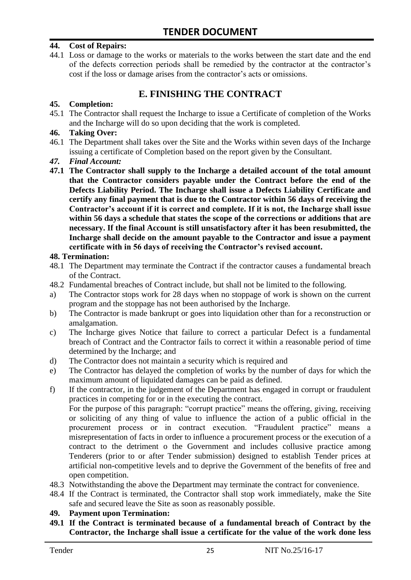#### **44. Cost of Repairs:**

44.1 Loss or damage to the works or materials to the works between the start date and the end of the defects correction periods shall be remedied by the contractor at the contractor"s cost if the loss or damage arises from the contractor's acts or omissions.

## **E. FINISHING THE CONTRACT**

#### **45. Completion:**

45.1 The Contractor shall request the Incharge to issue a Certificate of completion of the Works and the Incharge will do so upon deciding that the work is completed.

#### **46. Taking Over:**

- 46.1 The Department shall takes over the Site and the Works within seven days of the Incharge issuing a certificate of Completion based on the report given by the Consultant.
- *47. Final Account:*
- **47.1 The Contractor shall supply to the Incharge a detailed account of the total amount that the Contractor considers payable under the Contract before the end of the Defects Liability Period. The Incharge shall issue a Defects Liability Certificate and certify any final payment that is due to the Contractor within 56 days of receiving the Contractor's account if it is correct and complete. If it is not, the Incharge shall issue within 56 days a schedule that states the scope of the corrections or additions that are necessary. If the final Account is still unsatisfactory after it has been resubmitted, the Incharge shall decide on the amount payable to the Contractor and issue a payment certificate with in 56 days of receiving the Contractor's revised account.**

#### **48. Termination:**

- 48.1 The Department may terminate the Contract if the contractor causes a fundamental breach of the Contract.
- 48.2 Fundamental breaches of Contract include, but shall not be limited to the following.
- a) The Contractor stops work for 28 days when no stoppage of work is shown on the current program and the stoppage has not been authorised by the Incharge.
- b) The Contractor is made bankrupt or goes into liquidation other than for a reconstruction or amalgamation.
- c) The Incharge gives Notice that failure to correct a particular Defect is a fundamental breach of Contract and the Contractor fails to correct it within a reasonable period of time determined by the Incharge; and
- d) The Contractor does not maintain a security which is required and
- e) The Contractor has delayed the completion of works by the number of days for which the maximum amount of liquidated damages can be paid as defined.
- f) If the contractor, in the judgement of the Department has engaged in corrupt or fraudulent practices in competing for or in the executing the contract.

For the purpose of this paragraph: "corrupt practice" means the offering, giving, receiving or soliciting of any thing of value to influence the action of a public official in the procurement process or in contract execution. "Fraudulent practice" means a misrepresentation of facts in order to influence a procurement process or the execution of a contract to the detriment o the Government and includes collusive practice among Tenderers (prior to or after Tender submission) designed to establish Tender prices at artificial non-competitive levels and to deprive the Government of the benefits of free and open competition.

- 48.3 Notwithstanding the above the Department may terminate the contract for convenience.
- 48.4 If the Contract is terminated, the Contractor shall stop work immediately, make the Site safe and secured leave the Site as soon as reasonably possible.

#### **49. Payment upon Termination:**

**49.1 If the Contract is terminated because of a fundamental breach of Contract by the Contractor, the Incharge shall issue a certificate for the value of the work done less**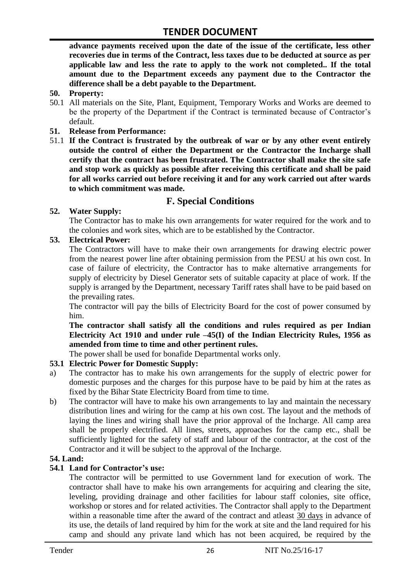**advance payments received upon the date of the issue of the certificate, less other recoveries due in terms of the Contract, less taxes due to be deducted at source as per applicable law and less the rate to apply to the work not completed.. If the total amount due to the Department exceeds any payment due to the Contractor the difference shall be a debt payable to the Department.**

- **50. Property:**
- 50.1 All materials on the Site, Plant, Equipment, Temporary Works and Works are deemed to be the property of the Department if the Contract is terminated because of Contractor's default.
- **51. Release from Performance:**
- 51.1 **If the Contract is frustrated by the outbreak of war or by any other event entirely outside the control of either the Department or the Contractor the Incharge shall certify that the contract has been frustrated. The Contractor shall make the site safe and stop work as quickly as possible after receiving this certificate and shall be paid for all works carried out before receiving it and for any work carried out after wards to which commitment was made.**

# **F. Special Conditions**

#### **52. Water Supply:**

The Contractor has to make his own arrangements for water required for the work and to the colonies and work sites, which are to be established by the Contractor.

#### **53. Electrical Power:**

The Contractors will have to make their own arrangements for drawing electric power from the nearest power line after obtaining permission from the PESU at his own cost. In case of failure of electricity, the Contractor has to make alternative arrangements for supply of electricity by Diesel Generator sets of suitable capacity at place of work. If the supply is arranged by the Department, necessary Tariff rates shall have to be paid based on the prevailing rates.

The contractor will pay the bills of Electricity Board for the cost of power consumed by him.

**The contractor shall satisfy all the conditions and rules required as per Indian Electricity Act 1910 and under rule –45(I) of the Indian Electricity Rules, 1956 as amended from time to time and other pertinent rules.**

The power shall be used for bonafide Departmental works only.

#### **53.1 Electric Power for Domestic Supply:**

- a) The contractor has to make his own arrangements for the supply of electric power for domestic purposes and the charges for this purpose have to be paid by him at the rates as fixed by the Bihar State Electricity Board from time to time.
- b) The contractor will have to make his own arrangements to lay and maintain the necessary distribution lines and wiring for the camp at his own cost. The layout and the methods of laying the lines and wiring shall have the prior approval of the Incharge. All camp area shall be properly electrified. All lines, streets, approaches for the camp etc., shall be sufficiently lighted for the safety of staff and labour of the contractor, at the cost of the Contractor and it will be subject to the approval of the Incharge.

#### **54. Land:**

#### **54.1 Land for Contractor's use:**

The contractor will be permitted to use Government land for execution of work. The contractor shall have to make his own arrangements for acquiring and clearing the site, leveling, providing drainage and other facilities for labour staff colonies, site office, workshop or stores and for related activities. The Contractor shall apply to the Department within a reasonable time after the award of the contract and atleast 30 days in advance of its use, the details of land required by him for the work at site and the land required for his camp and should any private land which has not been acquired, be required by the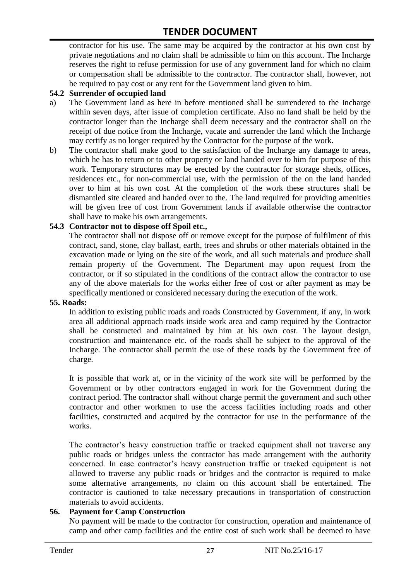contractor for his use. The same may be acquired by the contractor at his own cost by private negotiations and no claim shall be admissible to him on this account. The Incharge reserves the right to refuse permission for use of any government land for which no claim or compensation shall be admissible to the contractor. The contractor shall, however, not be required to pay cost or any rent for the Government land given to him.

#### **54.2 Surrender of occupied land**

- a) The Government land as here in before mentioned shall be surrendered to the Incharge within seven days, after issue of completion certificate. Also no land shall be held by the contractor longer than the Incharge shall deem necessary and the contractor shall on the receipt of due notice from the Incharge, vacate and surrender the land which the Incharge may certify as no longer required by the Contractor for the purpose of the work.
- b) The contractor shall make good to the satisfaction of the Incharge any damage to areas, which he has to return or to other property or land handed over to him for purpose of this work. Temporary structures may be erected by the contractor for storage sheds, offices, residences etc., for non-commercial use, with the permission of the on the land handed over to him at his own cost. At the completion of the work these structures shall be dismantled site cleared and handed over to the. The land required for providing amenities will be given free of cost from Government lands if available otherwise the contractor shall have to make his own arrangements.

#### **54.3 Contractor not to dispose off Spoil etc.,**

The contractor shall not dispose off or remove except for the purpose of fulfilment of this contract, sand, stone, clay ballast, earth, trees and shrubs or other materials obtained in the excavation made or lying on the site of the work, and all such materials and produce shall remain property of the Government. The Department may upon request from the contractor, or if so stipulated in the conditions of the contract allow the contractor to use any of the above materials for the works either free of cost or after payment as may be specifically mentioned or considered necessary during the execution of the work.

#### **55. Roads:**

In addition to existing public roads and roads Constructed by Government, if any, in work area all additional approach roads inside work area and camp required by the Contractor shall be constructed and maintained by him at his own cost. The layout design, construction and maintenance etc. of the roads shall be subject to the approval of the Incharge. The contractor shall permit the use of these roads by the Government free of charge.

It is possible that work at, or in the vicinity of the work site will be performed by the Government or by other contractors engaged in work for the Government during the contract period. The contractor shall without charge permit the government and such other contractor and other workmen to use the access facilities including roads and other facilities, constructed and acquired by the contractor for use in the performance of the works.

The contractor's heavy construction traffic or tracked equipment shall not traverse any public roads or bridges unless the contractor has made arrangement with the authority concerned. In case contractor"s heavy construction traffic or tracked equipment is not allowed to traverse any public roads or bridges and the contractor is required to make some alternative arrangements, no claim on this account shall be entertained. The contractor is cautioned to take necessary precautions in transportation of construction materials to avoid accidents.

#### **56. Payment for Camp Construction**

No payment will be made to the contractor for construction, operation and maintenance of camp and other camp facilities and the entire cost of such work shall be deemed to have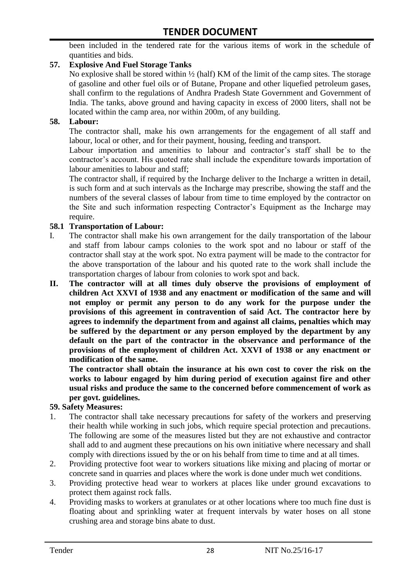been included in the tendered rate for the various items of work in the schedule of quantities and bids.

#### **57. Explosive And Fuel Storage Tanks**

No explosive shall be stored within ½ (half) KM of the limit of the camp sites. The storage of gasoline and other fuel oils or of Butane, Propane and other liquefied petroleum gases, shall confirm to the regulations of Andhra Pradesh State Government and Government of India. The tanks, above ground and having capacity in excess of 2000 liters, shall not be located within the camp area, nor within 200m, of any building.

#### **58. Labour:**

The contractor shall, make his own arrangements for the engagement of all staff and labour, local or other, and for their payment, housing, feeding and transport.

Labour importation and amenities to labour and contractor's staff shall be to the contractor's account. His quoted rate shall include the expenditure towards importation of labour amenities to labour and staff;

The contractor shall, if required by the Incharge deliver to the Incharge a written in detail, is such form and at such intervals as the Incharge may prescribe, showing the staff and the numbers of the several classes of labour from time to time employed by the contractor on the Site and such information respecting Contractor"s Equipment as the Incharge may require.

#### **58.1 Transportation of Labour:**

- I. The contractor shall make his own arrangement for the daily transportation of the labour and staff from labour camps colonies to the work spot and no labour or staff of the contractor shall stay at the work spot. No extra payment will be made to the contractor for the above transportation of the labour and his quoted rate to the work shall include the transportation charges of labour from colonies to work spot and back.
- **II. The contractor will at all times duly observe the provisions of employment of children Act XXVI of 1938 and any enactment or modification of the same and will not employ or permit any person to do any work for the purpose under the provisions of this agreement in contravention of said Act. The contractor here by agrees to indemnify the department from and against all claims, penalties which may be suffered by the department or any person employed by the department by any default on the part of the contractor in the observance and performance of the provisions of the employment of children Act. XXVI of 1938 or any enactment or modification of the same.**

**The contractor shall obtain the insurance at his own cost to cover the risk on the works to labour engaged by him during period of execution against fire and other usual risks and produce the same to the concerned before commencement of work as per govt. guidelines.**

#### **59. Safety Measures:**

- 1. The contractor shall take necessary precautions for safety of the workers and preserving their health while working in such jobs, which require special protection and precautions. The following are some of the measures listed but they are not exhaustive and contractor shall add to and augment these precautions on his own initiative where necessary and shall comply with directions issued by the or on his behalf from time to time and at all times.
- 2. Providing protective foot wear to workers situations like mixing and placing of mortar or concrete sand in quarries and places where the work is done under much wet conditions.
- 3. Providing protective head wear to workers at places like under ground excavations to protect them against rock falls.
- 4. Providing masks to workers at granulates or at other locations where too much fine dust is floating about and sprinkling water at frequent intervals by water hoses on all stone crushing area and storage bins abate to dust.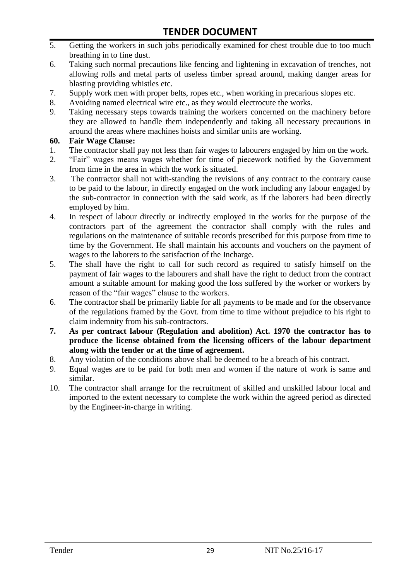- 5. Getting the workers in such jobs periodically examined for chest trouble due to too much breathing in to fine dust.
- 6. Taking such normal precautions like fencing and lightening in excavation of trenches, not allowing rolls and metal parts of useless timber spread around, making danger areas for blasting providing whistles etc.
- 7. Supply work men with proper belts, ropes etc., when working in precarious slopes etc.
- 8. Avoiding named electrical wire etc., as they would electrocute the works.
- 9. Taking necessary steps towards training the workers concerned on the machinery before they are allowed to handle them independently and taking all necessary precautions in around the areas where machines hoists and similar units are working.

#### **60. Fair Wage Clause:**

- 1. The contractor shall pay not less than fair wages to labourers engaged by him on the work.
- 2. "Fair" wages means wages whether for time of piecework notified by the Government from time in the area in which the work is situated.
- 3. The contractor shall not with-standing the revisions of any contract to the contrary cause to be paid to the labour, in directly engaged on the work including any labour engaged by the sub-contractor in connection with the said work, as if the laborers had been directly employed by him.
- 4. In respect of labour directly or indirectly employed in the works for the purpose of the contractors part of the agreement the contractor shall comply with the rules and regulations on the maintenance of suitable records prescribed for this purpose from time to time by the Government. He shall maintain his accounts and vouchers on the payment of wages to the laborers to the satisfaction of the Incharge.
- 5. The shall have the right to call for such record as required to satisfy himself on the payment of fair wages to the labourers and shall have the right to deduct from the contract amount a suitable amount for making good the loss suffered by the worker or workers by reason of the "fair wages" clause to the workers.
- 6. The contractor shall be primarily liable for all payments to be made and for the observance of the regulations framed by the Govt. from time to time without prejudice to his right to claim indemnity from his sub-contractors.
- **7. As per contract labour (Regulation and abolition) Act. 1970 the contractor has to produce the license obtained from the licensing officers of the labour department along with the tender or at the time of agreement.**
- 8. Any violation of the conditions above shall be deemed to be a breach of his contract.
- 9. Equal wages are to be paid for both men and women if the nature of work is same and similar.
- 10. The contractor shall arrange for the recruitment of skilled and unskilled labour local and imported to the extent necessary to complete the work within the agreed period as directed by the Engineer-in-charge in writing.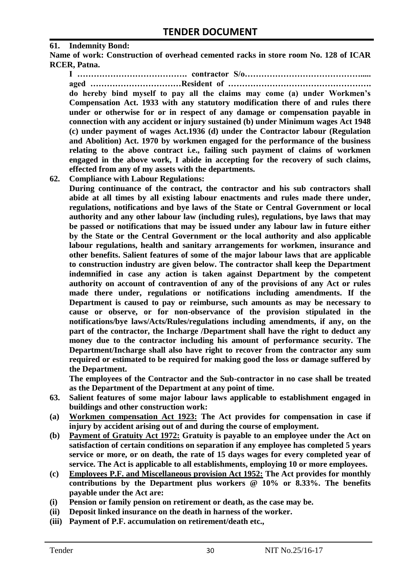#### **61. Indemnity Bond:**

**Name of work: Construction of overhead cemented racks in store room No. 128 of ICAR RCER, Patna.**

**I …………………………………. contractor S/o……………………………………..... aged ……………………………Resident of ……………………………………………. do hereby bind myself to pay all the claims may come (a) under Workmen's Compensation Act. 1933 with any statutory modification there of and rules there under or otherwise for or in respect of any damage or compensation payable in connection with any accident or injury sustained (b) under Minimum wages Act 1948 (c) under payment of wages Act.1936 (d) under the Contractor labour (Regulation and Abolition) Act. 1970 by workmen engaged for the performance of the business relating to the above contract i.e., failing such payment of claims of workmen engaged in the above work, I abide in accepting for the recovery of such claims, effected from any of my assets with the departments.**

**62. Compliance with Labour Regulations:**

**During continuance of the contract, the contractor and his sub contractors shall abide at all times by all existing labour enactments and rules made there under, regulations, notifications and bye laws of the State or Central Government or local authority and any other labour law (including rules), regulations, bye laws that may be passed or notifications that may be issued under any labour law in future either by the State or the Central Government or the local authority and also applicable labour regulations, health and sanitary arrangements for workmen, insurance and other benefits. Salient features of some of the major labour laws that are applicable to construction industry are given below. The contractor shall keep the Department indemnified in case any action is taken against Department by the competent authority on account of contravention of any of the provisions of any Act or rules made there under, regulations or notifications including amendments. If the Department is caused to pay or reimburse, such amounts as may be necessary to cause or observe, or for non-observance of the provision stipulated in the notifications/bye laws/Acts/Rules/regulations including amendments, if any, on the part of the contractor, the Incharge /Department shall have the right to deduct any money due to the contractor including his amount of performance security. The Department/Incharge shall also have right to recover from the contractor any sum required or estimated to be required for making good the loss or damage suffered by the Department.**

**The employees of the Contractor and the Sub-contractor in no case shall be treated as the Department of the Department at any point of time.**

- **63. Salient features of some major labour laws applicable to establishment engaged in buildings and other construction work:**
- **(a) Workmen compensation Act 1923: The Act provides for compensation in case if injury by accident arising out of and during the course of employment.**
- **(b) Payment of Gratuity Act 1972: Gratuity is payable to an employee under the Act on satisfaction of certain conditions on separation if any employee has completed 5 years service or more, or on death, the rate of 15 days wages for every completed year of service. The Act is applicable to all establishments, employing 10 or more employees.**
- **(c) Employees P.F. and Miscellaneous provision Act 1952: The Act provides for monthly contributions by the Department plus workers @ 10% or 8.33%. The benefits payable under the Act are:**
- **(i) Pension or family pension on retirement or death, as the case may be.**
- **(ii) Deposit linked insurance on the death in harness of the worker.**
- **(iii) Payment of P.F. accumulation on retirement/death etc.,**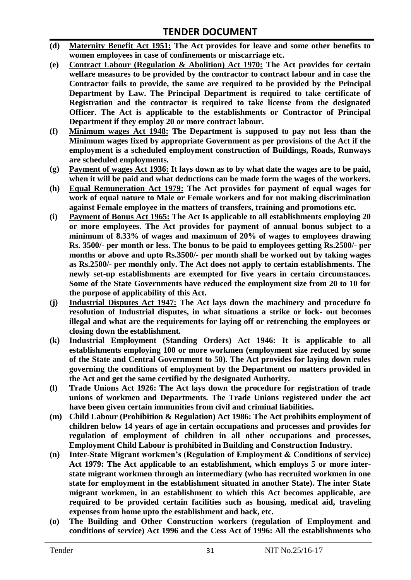- **(d) Maternity Benefit Act 1951: The Act provides for leave and some other benefits to women employees in case of confinements or miscarriage etc.**
- **(e) Contract Labour (Regulation & Abolition) Act 1970: The Act provides for certain welfare measures to be provided by the contractor to contract labour and in case the Contractor fails to provide, the same are required to be provided by the Principal Department by Law. The Principal Department is required to take certificate of Registration and the contractor is required to take license from the designated Officer. The Act is applicable to the establishments or Contractor of Principal Department if they employ 20 or more contract labour.**
- **(f) Minimum wages Act 1948: The Department is supposed to pay not less than the Minimum wages fixed by appropriate Government as per provisions of the Act if the employment is a scheduled employment construction of Buildings, Roads, Runways are scheduled employments.**
- **(g) Payment of wages Act 1936: It lays down as to by what date the wages are to be paid, when it will be paid and what deductions can be made form the wages of the workers.**
- **(h) Equal Remuneration Act 1979: The Act provides for payment of equal wages for work of equal nature to Male or Female workers and for not making discrimination against Female employee in the matters of transfers, training and promotions etc.**
- **(i) Payment of Bonus Act 1965: The Act Is applicable to all establishments employing 20 or more employees. The Act provides for payment of annual bonus subject to a minimum of 8.33% of wages and maximum of 20% of wages to employees drawing Rs. 3500/- per month or less. The bonus to be paid to employees getting Rs.2500/- per months or above and upto Rs.3500/- per month shall be worked out by taking wages as Rs.2500/- per monthly only. The Act does not apply to certain establishments. The newly set-up establishments are exempted for five years in certain circumstances. Some of the State Governments have reduced the employment size from 20 to 10 for the purpose of applicability of this Act.**
- **(j) Industrial Disputes Act 1947: The Act lays down the machinery and procedure fo resolution of Industrial disputes, in what situations a strike or lock- out becomes illegal and what are the requirements for laying off or retrenching the employees or closing down the establishment.**
- **(k) Industrial Employment (Standing Orders) Act 1946: It is applicable to all establishments employing 100 or more workmen (employment size reduced by some of the State and Central Government to 50). The Act provides for laying down rules governing the conditions of employment by the Department on matters provided in the Act and get the same certified by the designated Authority.**
- **(l) Trade Unions Act 1926: The Act lays down the procedure for registration of trade unions of workmen and Departments. The Trade Unions registered under the act have been given certain immunities from civil and criminal liabilities.**
- **(m) Child Labour (Prohibition & Regulation) Act 1986: The Act prohibits employment of children below 14 years of age in certain occupations and processes and provides for regulation of employment of children in all other occupations and processes, Employment Child Labour is prohibited in Building and Construction Industry.**
- **(n) Inter-State Migrant workmen's (Regulation of Employment & Conditions of service) Act 1979: The Act applicable to an establishment, which employs 5 or more interstate migrant workmen through an intermediary (who has recruited workmen in one state for employment in the establishment situated in another State). The inter State migrant workmen, in an establishment to which this Act becomes applicable, are required to be provided certain facilities such as housing, medical aid, traveling expenses from home upto the establishment and back, etc.**
- **(o) The Building and Other Construction workers (regulation of Employment and conditions of service) Act 1996 and the Cess Act of 1996: All the establishments who**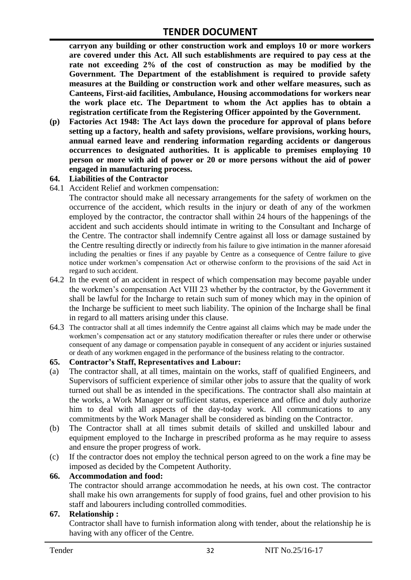**carryon any building or other construction work and employs 10 or more workers are covered under this Act. All such establishments are required to pay cess at the rate not exceeding 2% of the cost of construction as may be modified by the Government. The Department of the establishment is required to provide safety measures at the Building or construction work and other welfare measures, such as Canteens, First-aid facilities, Ambulance, Housing accommodations for workers near the work place etc. The Department to whom the Act applies has to obtain a registration certificate from the Registering Officer appointed by the Government.**

**(p) Factories Act 1948: The Act lays down the procedure for approval of plans before setting up a factory, health and safety provisions, welfare provisions, working hours, annual earned leave and rendering information regarding accidents or dangerous occurrences to designated authorities. It is applicable to premises employing 10 person or more with aid of power or 20 or more persons without the aid of power engaged in manufacturing process.**

#### **64. Liabilities of the Contractor**

64.1 Accident Relief and workmen compensation:

The contractor should make all necessary arrangements for the safety of workmen on the occurrence of the accident, which results in the injury or death of any of the workmen employed by the contractor, the contractor shall within 24 hours of the happenings of the accident and such accidents should intimate in writing to the Consultant and Incharge of the Centre. The contractor shall indemnify Centre against all loss or damage sustained by the Centre resulting directly or indirectly from his failure to give intimation in the manner aforesaid including the penalties or fines if any payable by Centre as a consequence of Centre failure to give notice under workmen"s compensation Act or otherwise conform to the provisions of the said Act in regard to such accident.

- 64.2 In the event of an accident in respect of which compensation may become payable under the workmen"s compensation Act VIII 23 whether by the contractor, by the Government it shall be lawful for the Incharge to retain such sum of money which may in the opinion of the Incharge be sufficient to meet such liability. The opinion of the Incharge shall be final in regard to all matters arising under this clause.
- 64.3 The contractor shall at all times indemnify the Centre against all claims which may be made under the workmen"s compensation act or any statutory modification thereafter or rules there under or otherwise consequent of any damage or compensation payable in consequent of any accident or injuries sustained or death of any workmen engaged in the performance of the business relating to the contractor.

#### **65. Contractor's Staff, Representatives and Labour:**

- (a) The contractor shall, at all times, maintain on the works, staff of qualified Engineers, and Supervisors of sufficient experience of similar other jobs to assure that the quality of work turned out shall be as intended in the specifications. The contractor shall also maintain at the works, a Work Manager or sufficient status, experience and office and duly authorize him to deal with all aspects of the day-today work. All communications to any commitments by the Work Manager shall be considered as binding on the Contractor.
- (b) The Contractor shall at all times submit details of skilled and unskilled labour and equipment employed to the Incharge in prescribed proforma as he may require to assess and ensure the proper progress of work.
- (c) If the contractor does not employ the technical person agreed to on the work a fine may be imposed as decided by the Competent Authority.

#### **66. Accommodation and food:**

The contractor should arrange accommodation he needs, at his own cost. The contractor shall make his own arrangements for supply of food grains, fuel and other provision to his staff and labourers including controlled commodities.

#### **67. Relationship :**

Contractor shall have to furnish information along with tender, about the relationship he is having with any officer of the Centre.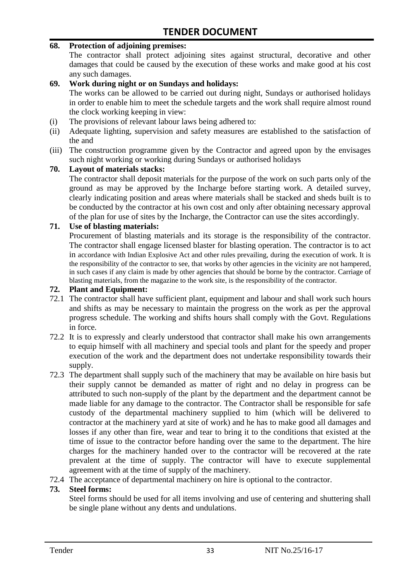#### **68. Protection of adjoining premises:**

The contractor shall protect adjoining sites against structural, decorative and other damages that could be caused by the execution of these works and make good at his cost any such damages.

#### **69. Work during night or on Sundays and holidays:**

The works can be allowed to be carried out during night, Sundays or authorised holidays in order to enable him to meet the schedule targets and the work shall require almost round the clock working keeping in view:

- (i) The provisions of relevant labour laws being adhered to:
- (ii) Adequate lighting, supervision and safety measures are established to the satisfaction of the and
- (iii) The construction programme given by the Contractor and agreed upon by the envisages such night working or working during Sundays or authorised holidays

#### **70. Layout of materials stacks:**

The contractor shall deposit materials for the purpose of the work on such parts only of the ground as may be approved by the Incharge before starting work. A detailed survey, clearly indicating position and areas where materials shall be stacked and sheds built is to be conducted by the contractor at his own cost and only after obtaining necessary approval of the plan for use of sites by the Incharge, the Contractor can use the sites accordingly.

#### **71. Use of blasting materials:**

Procurement of blasting materials and its storage is the responsibility of the contractor. The contractor shall engage licensed blaster for blasting operation. The contractor is to act in accordance with Indian Explosive Act and other rules prevailing, during the execution of work. It is the responsibility of the contractor to see, that works by other agencies in the vicinity are not hampered, in such cases if any claim is made by other agencies that should be borne by the contractor. Carriage of blasting materials, from the magazine to the work site, is the responsibility of the contractor.

#### **72. Plant and Equipment:**

- 72.1 The contractor shall have sufficient plant, equipment and labour and shall work such hours and shifts as may be necessary to maintain the progress on the work as per the approval progress schedule. The working and shifts hours shall comply with the Govt. Regulations in force.
- 72.2 It is to expressly and clearly understood that contractor shall make his own arrangements to equip himself with all machinery and special tools and plant for the speedy and proper execution of the work and the department does not undertake responsibility towards their supply.
- 72.3 The department shall supply such of the machinery that may be available on hire basis but their supply cannot be demanded as matter of right and no delay in progress can be attributed to such non-supply of the plant by the department and the department cannot be made liable for any damage to the contractor. The Contractor shall be responsible for safe custody of the departmental machinery supplied to him (which will be delivered to contractor at the machinery yard at site of work) and he has to make good all damages and losses if any other than fire, wear and tear to bring it to the conditions that existed at the time of issue to the contractor before handing over the same to the department. The hire charges for the machinery handed over to the contractor will be recovered at the rate prevalent at the time of supply. The contractor will have to execute supplemental agreement with at the time of supply of the machinery.
- 72.4 The acceptance of departmental machinery on hire is optional to the contractor.

#### **73. Steel forms:**

Steel forms should be used for all items involving and use of centering and shuttering shall be single plane without any dents and undulations.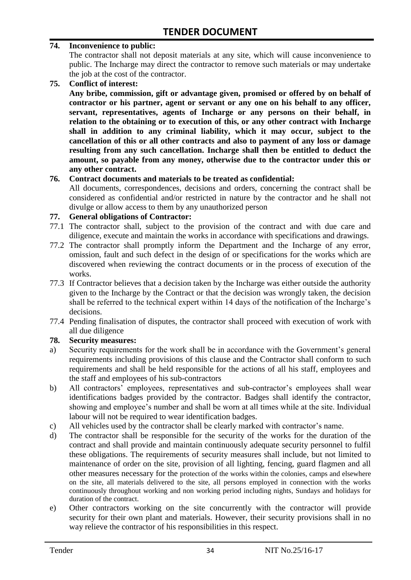#### **74. Inconvenience to public:**

The contractor shall not deposit materials at any site, which will cause inconvenience to public. The Incharge may direct the contractor to remove such materials or may undertake the job at the cost of the contractor.

**75. Conflict of interest:**

**Any bribe, commission, gift or advantage given, promised or offered by on behalf of contractor or his partner, agent or servant or any one on his behalf to any officer, servant, representatives, agents of Incharge or any persons on their behalf, in relation to the obtaining or to execution of this, or any other contract with Incharge shall in addition to any criminal liability, which it may occur, subject to the cancellation of this or all other contracts and also to payment of any loss or damage resulting from any such cancellation. Incharge shall then be entitled to deduct the amount, so payable from any money, otherwise due to the contractor under this or any other contract.**

#### **76. Contract documents and materials to be treated as confidential:**

All documents, correspondences, decisions and orders, concerning the contract shall be considered as confidential and/or restricted in nature by the contractor and he shall not divulge or allow access to them by any unauthorized person

#### **77. General obligations of Contractor:**

- 77.1 The contractor shall, subject to the provision of the contract and with due care and diligence, execute and maintain the works in accordance with specifications and drawings.
- 77.2 The contractor shall promptly inform the Department and the Incharge of any error, omission, fault and such defect in the design of or specifications for the works which are discovered when reviewing the contract documents or in the process of execution of the works.
- 77.3 If Contractor believes that a decision taken by the Incharge was either outside the authority given to the Incharge by the Contract or that the decision was wrongly taken, the decision shall be referred to the technical expert within 14 days of the notification of the Incharge's decisions.
- 77.4 Pending finalisation of disputes, the contractor shall proceed with execution of work with all due diligence

#### **78. Security measures:**

- a) Security requirements for the work shall be in accordance with the Government's general requirements including provisions of this clause and the Contractor shall conform to such requirements and shall be held responsible for the actions of all his staff, employees and the staff and employees of his sub-contractors
- b) All contractors' employees, representatives and sub-contractor's employees shall wear identifications badges provided by the contractor. Badges shall identify the contractor, showing and employee's number and shall be worn at all times while at the site. Individual labour will not be required to wear identification badges.
- c) All vehicles used by the contractor shall be clearly marked with contractor"s name.
- d) The contractor shall be responsible for the security of the works for the duration of the contract and shall provide and maintain continuously adequate security personnel to fulfil these obligations. The requirements of security measures shall include, but not limited to maintenance of order on the site, provision of all lighting, fencing, guard flagmen and all other measures necessary for the protection of the works within the colonies, camps and elsewhere on the site, all materials delivered to the site, all persons employed in connection with the works continuously throughout working and non working period including nights, Sundays and holidays for duration of the contract.
- e) Other contractors working on the site concurrently with the contractor will provide security for their own plant and materials. However, their security provisions shall in no way relieve the contractor of his responsibilities in this respect.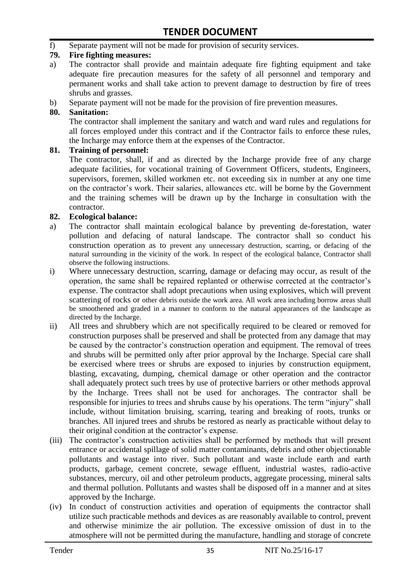f) Separate payment will not be made for provision of security services.

#### **79. Fire fighting measures:**

- a) The contractor shall provide and maintain adequate fire fighting equipment and take adequate fire precaution measures for the safety of all personnel and temporary and permanent works and shall take action to prevent damage to destruction by fire of trees shrubs and grasses.
- b) Separate payment will not be made for the provision of fire prevention measures.

#### **80. Sanitation:**

The contractor shall implement the sanitary and watch and ward rules and regulations for all forces employed under this contract and if the Contractor fails to enforce these rules, the Incharge may enforce them at the expenses of the Contractor.

#### **81. Training of personnel:**

The contractor, shall, if and as directed by the Incharge provide free of any charge adequate facilities, for vocational training of Government Officers, students, Engineers, supervisors, foremen, skilled workmen etc. not exceeding six in number at any one time on the contractor"s work. Their salaries, allowances etc. will be borne by the Government and the training schemes will be drawn up by the Incharge in consultation with the contractor.

#### **82. Ecological balance:**

- a) The contractor shall maintain ecological balance by preventing de-forestation, water pollution and defacing of natural landscape. The contractor shall so conduct his construction operation as to prevent any unnecessary destruction, scarring, or defacing of the natural surrounding in the vicinity of the work. In respect of the ecological balance, Contractor shall observe the following instructions.
- i) Where unnecessary destruction, scarring, damage or defacing may occur, as result of the operation, the same shall be repaired replanted or otherwise corrected at the contractor"s expense. The contractor shall adopt precautions when using explosives, which will prevent scattering of rocks or other debris outside the work area. All work area including borrow areas shall be smoothened and graded in a manner to conform to the natural appearances of the landscape as directed by the Incharge.
- ii) All trees and shrubbery which are not specifically required to be cleared or removed for construction purposes shall be preserved and shall be protected from any damage that may be caused by the contractor's construction operation and equipment. The removal of trees and shrubs will be permitted only after prior approval by the Incharge. Special care shall be exercised where trees or shrubs are exposed to injuries by construction equipment, blasting, excavating, dumping, chemical damage or other operation and the contractor shall adequately protect such trees by use of protective barriers or other methods approval by the Incharge. Trees shall not be used for anchorages. The contractor shall be responsible for injuries to trees and shrubs cause by his operations. The term "injury" shall include, without limitation bruising, scarring, tearing and breaking of roots, trunks or branches. All injured trees and shrubs be restored as nearly as practicable without delay to their original condition at the contractor"s expense.
- (iii) The contractor's construction activities shall be performed by methods that will present entrance or accidental spillage of solid matter contaminants, debris and other objectionable pollutants and wastage into river. Such pollutant and waste include earth and earth products, garbage, cement concrete, sewage effluent, industrial wastes, radio-active substances, mercury, oil and other petroleum products, aggregate processing, mineral salts and thermal pollution. Pollutants and wastes shall be disposed off in a manner and at sites approved by the Incharge.
- (iv) In conduct of construction activities and operation of equipments the contractor shall utilize such practicable methods and devices as are reasonably available to control, prevent and otherwise minimize the air pollution. The excessive omission of dust in to the atmosphere will not be permitted during the manufacture, handling and storage of concrete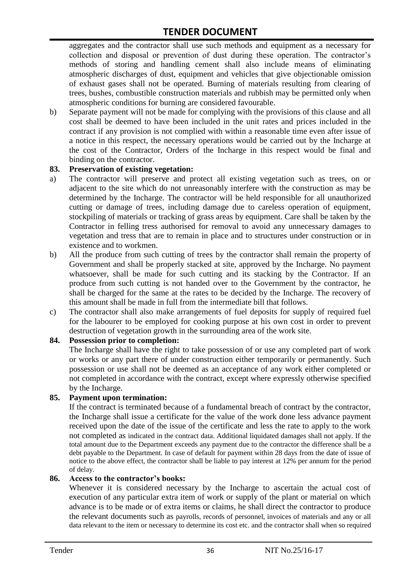aggregates and the contractor shall use such methods and equipment as a necessary for collection and disposal or prevention of dust during these operation. The contractor's methods of storing and handling cement shall also include means of eliminating atmospheric discharges of dust, equipment and vehicles that give objectionable omission of exhaust gases shall not be operated. Burning of materials resulting from clearing of trees, bushes, combustible construction materials and rubbish may be permitted only when atmospheric conditions for burning are considered favourable.

b) Separate payment will not be made for complying with the provisions of this clause and all cost shall be deemed to have been included in the unit rates and prices included in the contract if any provision is not complied with within a reasonable time even after issue of a notice in this respect, the necessary operations would be carried out by the Incharge at the cost of the Contractor, Orders of the Incharge in this respect would be final and binding on the contractor.

#### **83. Preservation of existing vegetation:**

- a) The contractor will preserve and protect all existing vegetation such as trees, on or adjacent to the site which do not unreasonably interfere with the construction as may be determined by the Incharge. The contractor will be held responsible for all unauthorized cutting or damage of trees, including damage due to careless operation of equipment, stockpiling of materials or tracking of grass areas by equipment. Care shall be taken by the Contractor in felling tress authorised for removal to avoid any unnecessary damages to vegetation and tress that are to remain in place and to structures under construction or in existence and to workmen.
- b) All the produce from such cutting of trees by the contractor shall remain the property of Government and shall be properly stacked at site, approved by the Incharge. No payment whatsoever, shall be made for such cutting and its stacking by the Contractor. If an produce from such cutting is not handed over to the Government by the contractor, he shall be charged for the same at the rates to be decided by the Incharge. The recovery of this amount shall be made in full from the intermediate bill that follows.
- c) The contractor shall also make arrangements of fuel deposits for supply of required fuel for the labourer to be employed for cooking purpose at his own cost in order to prevent destruction of vegetation growth in the surrounding area of the work site.

#### **84. Possession prior to completion:**

The Incharge shall have the right to take possession of or use any completed part of work or works or any part there of under construction either temporarily or permanently. Such possession or use shall not be deemed as an acceptance of any work either completed or not completed in accordance with the contract, except where expressly otherwise specified by the Incharge.

#### **85. Payment upon termination:**

If the contract is terminated because of a fundamental breach of contract by the contractor, the Incharge shall issue a certificate for the value of the work done less advance payment received upon the date of the issue of the certificate and less the rate to apply to the work not completed as indicated in the contract data. Additional liquidated damages shall not apply. If the total amount due to the Department exceeds any payment due to the contractor the difference shall be a debt payable to the Department. In case of default for payment within 28 days from the date of issue of notice to the above effect, the contractor shall be liable to pay interest at 12% per annum for the period of delay.

#### **86. Access to the contractor's books:**

Whenever it is considered necessary by the Incharge to ascertain the actual cost of execution of any particular extra item of work or supply of the plant or material on which advance is to be made or of extra items or claims, he shall direct the contractor to produce the relevant documents such as payrolls, records of personnel, invoices of materials and any or all data relevant to the item or necessary to determine its cost etc. and the contractor shall when so required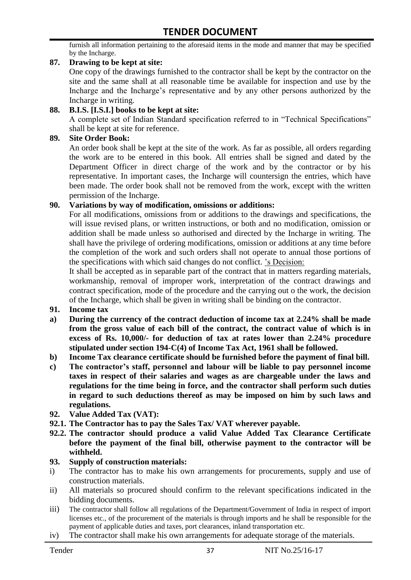furnish all information pertaining to the aforesaid items in the mode and manner that may be specified by the Incharge.

#### **87. Drawing to be kept at site:**

One copy of the drawings furnished to the contractor shall be kept by the contractor on the site and the same shall at all reasonable time be available for inspection and use by the Incharge and the Incharge"s representative and by any other persons authorized by the Incharge in writing.

#### **88. B.I.S. [I.S.I.] books to be kept at site:**

A complete set of Indian Standard specification referred to in "Technical Specifications" shall be kept at site for reference.

#### **89. Site Order Book:**

An order book shall be kept at the site of the work. As far as possible, all orders regarding the work are to be entered in this book. All entries shall be signed and dated by the Department Officer in direct charge of the work and by the contractor or by his representative. In important cases, the Incharge will countersign the entries, which have been made. The order book shall not be removed from the work, except with the written permission of the Incharge.

#### **90. Variations by way of modification, omissions or additions:**

For all modifications, omissions from or additions to the drawings and specifications, the will issue revised plans, or written instructions, or both and no modification, omission or addition shall be made unless so authorised and directed by the Incharge in writing. The shall have the privilege of ordering modifications, omission or additions at any time before the completion of the work and such orders shall not operate to annual those portions of the specifications with which said changes do not conflict. "s Decision:

It shall be accepted as in separable part of the contract that in matters regarding materials, workmanship, removal of improper work, interpretation of the contract drawings and contract specification, mode of the procedure and the carrying out o the work, the decision of the Incharge, which shall be given in writing shall be binding on the contractor.

- **91. Income tax**
- **a) During the currency of the contract deduction of income tax at 2.24% shall be made from the gross value of each bill of the contract, the contract value of which is in excess of Rs. 10,000/- for deduction of tax at rates lower than 2.24% procedure stipulated under section 194-C(4) of Income Tax Act, 1961 shall be followed.**
- **b) Income Tax clearance certificate should be furnished before the payment of final bill.**
- **c) The contractor's staff, personnel and labour will be liable to pay personnel income taxes in respect of their salaries and wages as are chargeable under the laws and regulations for the time being in force, and the contractor shall perform such duties in regard to such deductions thereof as may be imposed on him by such laws and regulations.**
- **92. Value Added Tax (VAT):**
- **92.1. The Contractor has to pay the Sales Tax/ VAT wherever payable.**
- **92.2. The contractor should produce a valid Value Added Tax Clearance Certificate before the payment of the final bill, otherwise payment to the contractor will be withheld.**

#### **93. Supply of construction materials:**

- i) The contractor has to make his own arrangements for procurements, supply and use of construction materials.
- ii) All materials so procured should confirm to the relevant specifications indicated in the bidding documents.
- iii) The contractor shall follow all regulations of the Department/Government of India in respect of import licenses etc., of the procurement of the materials is through imports and he shall be responsible for the payment of applicable duties and taxes, port clearances, inland transportation etc.
- iv) The contractor shall make his own arrangements for adequate storage of the materials.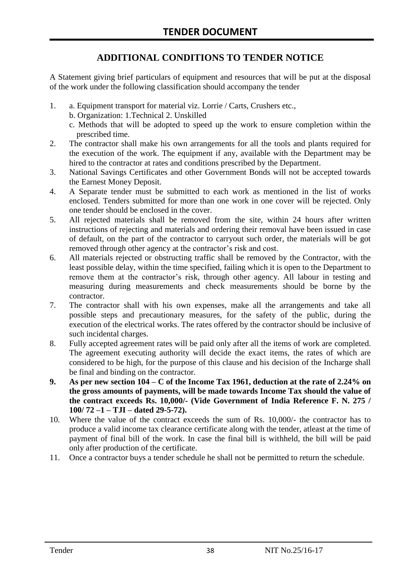### **ADDITIONAL CONDITIONS TO TENDER NOTICE**

A Statement giving brief particulars of equipment and resources that will be put at the disposal of the work under the following classification should accompany the tender

- 1. a. Equipment transport for material viz. Lorrie / Carts, Crushers etc.,
	- b. Organization: 1.Technical 2. Unskilled
	- c. Methods that will be adopted to speed up the work to ensure completion within the prescribed time.
- 2. The contractor shall make his own arrangements for all the tools and plants required for the execution of the work. The equipment if any, available with the Department may be hired to the contractor at rates and conditions prescribed by the Department.
- 3. National Savings Certificates and other Government Bonds will not be accepted towards the Earnest Money Deposit.
- 4. A Separate tender must be submitted to each work as mentioned in the list of works enclosed. Tenders submitted for more than one work in one cover will be rejected. Only one tender should be enclosed in the cover.
- 5. All rejected materials shall be removed from the site, within 24 hours after written instructions of rejecting and materials and ordering their removal have been issued in case of default, on the part of the contractor to carryout such order, the materials will be got removed through other agency at the contractor's risk and cost.
- 6. All materials rejected or obstructing traffic shall be removed by the Contractor, with the least possible delay, within the time specified, failing which it is open to the Department to remove them at the contractor's risk, through other agency. All labour in testing and measuring during measurements and check measurements should be borne by the contractor.
- 7. The contractor shall with his own expenses, make all the arrangements and take all possible steps and precautionary measures, for the safety of the public, during the execution of the electrical works. The rates offered by the contractor should be inclusive of such incidental charges.
- 8. Fully accepted agreement rates will be paid only after all the items of work are completed. The agreement executing authority will decide the exact items, the rates of which are considered to be high, for the purpose of this clause and his decision of the Incharge shall be final and binding on the contractor.
- **9. As per new section 104 – C of the Income Tax 1961, deduction at the rate of 2.24% on the gross amounts of payments, will be made towards Income Tax should the value of the contract exceeds Rs. 10,000/- (Vide Government of India Reference F. N. 275 / 100/ 72 –1 – TJI – dated 29-5-72).**
- 10. Where the value of the contract exceeds the sum of Rs. 10,000/- the contractor has to produce a valid income tax clearance certificate along with the tender, atleast at the time of payment of final bill of the work. In case the final bill is withheld, the bill will be paid only after production of the certificate.
- 11. Once a contractor buys a tender schedule he shall not be permitted to return the schedule.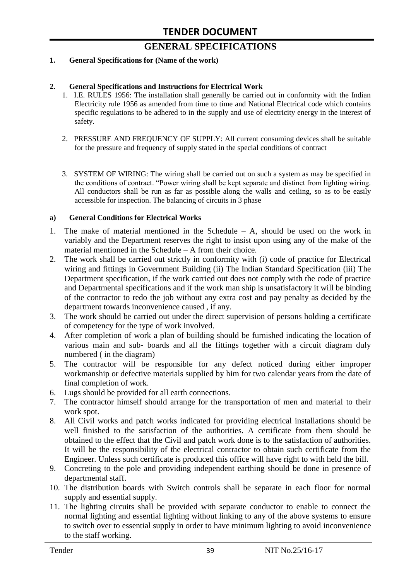# **GENERAL SPECIFICATIONS**

#### **1. General Specifications for (Name of the work)**

#### **2. General Specifications and Instructions for Electrical Work**

- 1. I.E. RULES 1956: The installation shall generally be carried out in conformity with the Indian Electricity rule 1956 as amended from time to time and National Electrical code which contains specific regulations to be adhered to in the supply and use of electricity energy in the interest of safety.
- 2. PRESSURE AND FREQUENCY OF SUPPLY: All current consuming devices shall be suitable for the pressure and frequency of supply stated in the special conditions of contract
- 3. SYSTEM OF WIRING: The wiring shall be carried out on such a system as may be specified in the conditions of contract. "Power wiring shall be kept separate and distinct from lighting wiring. All conductors shall be run as far as possible along the walls and ceiling, so as to be easily accessible for inspection. The balancing of circuits in 3 phase

#### **a) General Conditions for Electrical Works**

- 1. The make of material mentioned in the Schedule A, should be used on the work in variably and the Department reserves the right to insist upon using any of the make of the material mentioned in the Schedule – A from their choice.
- 2. The work shall be carried out strictly in conformity with (i) code of practice for Electrical wiring and fittings in Government Building (ii) The Indian Standard Specification (iii) The Department specification, if the work carried out does not comply with the code of practice and Departmental specifications and if the work man ship is unsatisfactory it will be binding of the contractor to redo the job without any extra cost and pay penalty as decided by the department towards inconvenience caused , if any.
- 3. The work should be carried out under the direct supervision of persons holding a certificate of competency for the type of work involved.
- 4. After completion of work a plan of building should be furnished indicating the location of various main and sub- boards and all the fittings together with a circuit diagram duly numbered ( in the diagram)
- 5. The contractor will be responsible for any defect noticed during either improper workmanship or defective materials supplied by him for two calendar years from the date of final completion of work.
- 6. Lugs should be provided for all earth connections.
- 7. The contractor himself should arrange for the transportation of men and material to their work spot.
- 8. All Civil works and patch works indicated for providing electrical installations should be well finished to the satisfaction of the authorities. A certificate from them should be obtained to the effect that the Civil and patch work done is to the satisfaction of authorities. It will be the responsibility of the electrical contractor to obtain such certificate from the Engineer. Unless such certificate is produced this office will have right to with held the bill.
- 9. Concreting to the pole and providing independent earthing should be done in presence of departmental staff.
- 10. The distribution boards with Switch controls shall be separate in each floor for normal supply and essential supply.
- 11. The lighting circuits shall be provided with separate conductor to enable to connect the normal lighting and essential lighting without linking to any of the above systems to ensure to switch over to essential supply in order to have minimum lighting to avoid inconvenience to the staff working.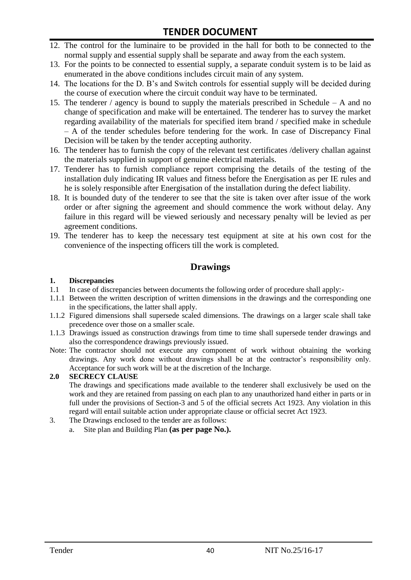# **TENDER DOCUMENT**

- 12. The control for the luminaire to be provided in the hall for both to be connected to the normal supply and essential supply shall be separate and away from the each system.
- 13. For the points to be connected to essential supply, a separate conduit system is to be laid as enumerated in the above conditions includes circuit main of any system.
- 14. The locations for the D. B"s and Switch controls for essential supply will be decided during the course of execution where the circuit conduit way have to be terminated.
- 15. The tenderer / agency is bound to supply the materials prescribed in Schedule A and no change of specification and make will be entertained. The tenderer has to survey the market regarding availability of the materials for specified item brand / specified make in schedule – A of the tender schedules before tendering for the work. In case of Discrepancy Final Decision will be taken by the tender accepting authority.
- 16. The tenderer has to furnish the copy of the relevant test certificates /delivery challan against the materials supplied in support of genuine electrical materials.
- 17. Tenderer has to furnish compliance report comprising the details of the testing of the installation duly indicating IR values and fitness before the Energisation as per IE rules and he is solely responsible after Energisation of the installation during the defect liability.
- 18. It is bounded duty of the tenderer to see that the site is taken over after issue of the work order or after signing the agreement and should commence the work without delay. Any failure in this regard will be viewed seriously and necessary penalty will be levied as per agreement conditions.
- 19. The tenderer has to keep the necessary test equipment at site at his own cost for the convenience of the inspecting officers till the work is completed.

#### **Drawings**

#### **1. Discrepancies**

- 1.1 In case of discrepancies between documents the following order of procedure shall apply:-
- 1.1.1 Between the written description of written dimensions in the drawings and the corresponding one in the specifications, the latter shall apply.
- 1.1.2 Figured dimensions shall supersede scaled dimensions. The drawings on a larger scale shall take precedence over those on a smaller scale.
- 1.1.3 Drawings issued as construction drawings from time to time shall supersede tender drawings and also the correspondence drawings previously issued.
- Note: The contractor should not execute any component of work without obtaining the working drawings. Any work done without drawings shall be at the contractor"s responsibility only. Acceptance for such work will be at the discretion of the Incharge.

#### **2.0 SECRECY CLAUSE**

The drawings and specifications made available to the tenderer shall exclusively be used on the work and they are retained from passing on each plan to any unauthorized hand either in parts or in full under the provisions of Section-3 and 5 of the official secrets Act 1923. Any violation in this regard will entail suitable action under appropriate clause or official secret Act 1923.

- 3. The Drawings enclosed to the tender are as follows:
	- a. Site plan and Building Plan **(as per page No.).**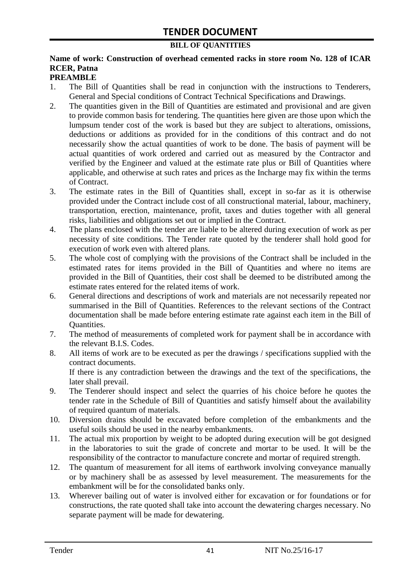#### **BILL OF QUANTITIES**

### **Name of work: Construction of overhead cemented racks in store room No. 128 of ICAR RCER, Patna**

#### **PREAMBLE**

- 1. The Bill of Quantities shall be read in conjunction with the instructions to Tenderers, General and Special conditions of Contract Technical Specifications and Drawings.
- 2. The quantities given in the Bill of Quantities are estimated and provisional and are given to provide common basis for tendering. The quantities here given are those upon which the lumpsum tender cost of the work is based but they are subject to alterations, omissions, deductions or additions as provided for in the conditions of this contract and do not necessarily show the actual quantities of work to be done. The basis of payment will be actual quantities of work ordered and carried out as measured by the Contractor and verified by the Engineer and valued at the estimate rate plus or Bill of Quantities where applicable, and otherwise at such rates and prices as the Incharge may fix within the terms of Contract.
- 3. The estimate rates in the Bill of Quantities shall, except in so-far as it is otherwise provided under the Contract include cost of all constructional material, labour, machinery, transportation, erection, maintenance, profit, taxes and duties together with all general risks, liabilities and obligations set out or implied in the Contract.
- 4. The plans enclosed with the tender are liable to be altered during execution of work as per necessity of site conditions. The Tender rate quoted by the tenderer shall hold good for execution of work even with altered plans.
- 5. The whole cost of complying with the provisions of the Contract shall be included in the estimated rates for items provided in the Bill of Quantities and where no items are provided in the Bill of Quantities, their cost shall be deemed to be distributed among the estimate rates entered for the related items of work.
- 6. General directions and descriptions of work and materials are not necessarily repeated nor summarised in the Bill of Quantities. References to the relevant sections of the Contract documentation shall be made before entering estimate rate against each item in the Bill of Quantities.
- 7. The method of measurements of completed work for payment shall be in accordance with the relevant B.I.S. Codes.
- 8. All items of work are to be executed as per the drawings / specifications supplied with the contract documents. If there is any contradiction between the drawings and the text of the specifications, the

later shall prevail.

- 9. The Tenderer should inspect and select the quarries of his choice before he quotes the tender rate in the Schedule of Bill of Quantities and satisfy himself about the availability of required quantum of materials.
- 10. Diversion drains should be excavated before completion of the embankments and the useful soils should be used in the nearby embankments.
- 11. The actual mix proportion by weight to be adopted during execution will be got designed in the laboratories to suit the grade of concrete and mortar to be used. It will be the responsibility of the contractor to manufacture concrete and mortar of required strength.
- 12. The quantum of measurement for all items of earthwork involving conveyance manually or by machinery shall be as assessed by level measurement. The measurements for the embankment will be for the consolidated banks only.
- 13. Wherever bailing out of water is involved either for excavation or for foundations or for constructions, the rate quoted shall take into account the dewatering charges necessary. No separate payment will be made for dewatering.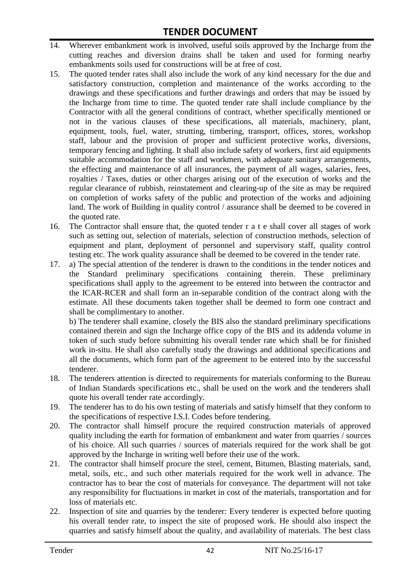- 14. Wherever embankment work is involved, useful soils approved by the Incharge from the cutting reaches and diversion drains shall be taken and used for forming nearby embankments soils used for constructions will be at free of cost.
- 15. The quoted tender rates shall also include the work of any kind necessary for the due and satisfactory construction, completion and maintenance of the works according to the drawings and these specifications and further drawings and orders that may be issued by the Incharge from time to time. The quoted tender rate shall include compliance by the Contractor with all the general conditions of contract, whether specifically mentioned or not in the various clauses of these specifications, all materials, machinery, plant, equipment, tools, fuel, water, strutting, timbering, transport, offices, stores, workshop staff, labour and the provision of proper and sufficient protective works, diversions, temporary fencing and lighting. It shall also include safety of workers, first aid equipments suitable accommodation for the staff and workmen, with adequate sanitary arrangements, the effecting and maintenance of all insurances, the payment of all wages, salaries, fees, royalties / Taxes, duties or other charges arising out of the execution of works and the regular clearance of rubbish, reinstatement and clearing-up of the site as may be required on completion of works safety of the public and protection of the works and adjoining land. The work of Building in quality control / assurance shall be deemed to be covered in the quoted rate.
- 16. The Contractor shall ensure that, the quoted tender r a t e shall cover all stages of work such as setting out, selection of materials, selection of construction methods, selection of equipment and plant, deployment of personnel and supervisory staff, quality control testing etc. The work quality assurance shall be deemed to be covered in the tender rate.
- 17. a) The special attention of the tenderer is drawn to the conditions in the tender notices and the Standard preliminary specifications containing therein. These preliminary specifications shall apply to the agreement to be entered into between the contractor and the ICAR-RCER and shall form an in-separable condition of the contract along with the estimate. All these documents taken together shall be deemed to form one contract and shall be complimentary to another.

b) The tenderer shall examine, closely the BIS also the standard preliminary specifications contained therein and sign the Incharge office copy of the BIS and its addenda volume in token of such study before submitting his overall tender rate which shall be for finished work in-situ. He shall also carefully study the drawings and additional specifications and all the documents, which form part of the agreement to be entered into by the successful tenderer.

- 18. The tenderers attention is directed to requirements for materials conforming to the Bureau of Indian Standards specifications etc., shall be used on the work and the tenderers shall quote his overall tender rate accordingly.
- 19. The tenderer has to do his own testing of materials and satisfy himself that they conform to the specifications of respective I.S.I. Codes before tendering.
- 20. The contractor shall himself procure the required construction materials of approved quality including the earth for formation of embankment and water from quarries / sources of his choice. All such quarries / sources of materials required for the work shall be got approved by the Incharge in writing well before their use of the work.
- 21. The contractor shall himself procure the steel, cement, Bitumen, Blasting materials, sand, metal, soils, etc., and such other materials required for the work well in advance. The contractor has to bear the cost of materials for conveyance. The department will not take any responsibility for fluctuations in market in cost of the materials, transportation and for loss of materials etc.
- 22. Inspection of site and quarries by the tenderer: Every tenderer is expected before quoting his overall tender rate, to inspect the site of proposed work. He should also inspect the quarries and satisfy himself about the quality, and availability of materials. The best class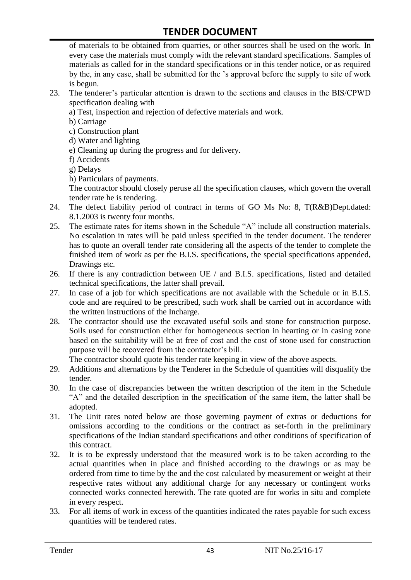of materials to be obtained from quarries, or other sources shall be used on the work. In every case the materials must comply with the relevant standard specifications. Samples of materials as called for in the standard specifications or in this tender notice, or as required by the, in any case, shall be submitted for the "s approval before the supply to site of work is begun.

- 23. The tenderer"s particular attention is drawn to the sections and clauses in the BIS/CPWD specification dealing with
	- a) Test, inspection and rejection of defective materials and work.
	- b) Carriage
	- c) Construction plant
	- d) Water and lighting
	- e) Cleaning up during the progress and for delivery.
	- f) Accidents
	- g) Delays
	- h) Particulars of payments.

The contractor should closely peruse all the specification clauses, which govern the overall tender rate he is tendering.

- 24. The defect liability period of contract in terms of GO Ms No: 8, T(R&B)Dept.dated: 8.1.2003 is twenty four months.
- 25. The estimate rates for items shown in the Schedule "A" include all construction materials. No escalation in rates will be paid unless specified in the tender document. The tenderer has to quote an overall tender rate considering all the aspects of the tender to complete the finished item of work as per the B.I.S. specifications, the special specifications appended, Drawings etc.
- 26. If there is any contradiction between UE / and B.I.S. specifications, listed and detailed technical specifications, the latter shall prevail.
- 27. In case of a job for which specifications are not available with the Schedule or in B.I.S. code and are required to be prescribed, such work shall be carried out in accordance with the written instructions of the Incharge.
- 28. The contractor should use the excavated useful soils and stone for construction purpose. Soils used for construction either for homogeneous section in hearting or in casing zone based on the suitability will be at free of cost and the cost of stone used for construction purpose will be recovered from the contractor's bill.

The contractor should quote his tender rate keeping in view of the above aspects.

- 29. Additions and alternations by the Tenderer in the Schedule of quantities will disqualify the tender.
- 30. In the case of discrepancies between the written description of the item in the Schedule "A" and the detailed description in the specification of the same item, the latter shall be adopted.
- 31. The Unit rates noted below are those governing payment of extras or deductions for omissions according to the conditions or the contract as set-forth in the preliminary specifications of the Indian standard specifications and other conditions of specification of this contract.
- 32. It is to be expressly understood that the measured work is to be taken according to the actual quantities when in place and finished according to the drawings or as may be ordered from time to time by the and the cost calculated by measurement or weight at their respective rates without any additional charge for any necessary or contingent works connected works connected herewith. The rate quoted are for works in situ and complete in every respect.
- 33. For all items of work in excess of the quantities indicated the rates payable for such excess quantities will be tendered rates.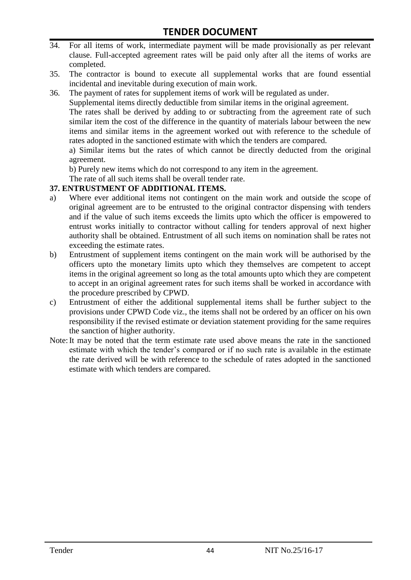- 34. For all items of work, intermediate payment will be made provisionally as per relevant clause. Full-accepted agreement rates will be paid only after all the items of works are completed.
- 35. The contractor is bound to execute all supplemental works that are found essential incidental and inevitable during execution of main work.
- 36. The payment of rates for supplement items of work will be regulated as under.

Supplemental items directly deductible from similar items in the original agreement.

The rates shall be derived by adding to or subtracting from the agreement rate of such similar item the cost of the difference in the quantity of materials labour between the new items and similar items in the agreement worked out with reference to the schedule of rates adopted in the sanctioned estimate with which the tenders are compared.

a) Similar items but the rates of which cannot be directly deducted from the original agreement.

b) Purely new items which do not correspond to any item in the agreement.

The rate of all such items shall be overall tender rate.

#### **37. ENTRUSTMENT OF ADDITIONAL ITEMS.**

- a) Where ever additional items not contingent on the main work and outside the scope of original agreement are to be entrusted to the original contractor dispensing with tenders and if the value of such items exceeds the limits upto which the officer is empowered to entrust works initially to contractor without calling for tenders approval of next higher authority shall be obtained. Entrustment of all such items on nomination shall be rates not exceeding the estimate rates.
- b) Entrustment of supplement items contingent on the main work will be authorised by the officers upto the monetary limits upto which they themselves are competent to accept items in the original agreement so long as the total amounts upto which they are competent to accept in an original agreement rates for such items shall be worked in accordance with the procedure prescribed by CPWD.
- c) Entrustment of either the additional supplemental items shall be further subject to the provisions under CPWD Code viz., the items shall not be ordered by an officer on his own responsibility if the revised estimate or deviation statement providing for the same requires the sanction of higher authority.
- Note:It may be noted that the term estimate rate used above means the rate in the sanctioned estimate with which the tender"s compared or if no such rate is available in the estimate the rate derived will be with reference to the schedule of rates adopted in the sanctioned estimate with which tenders are compared.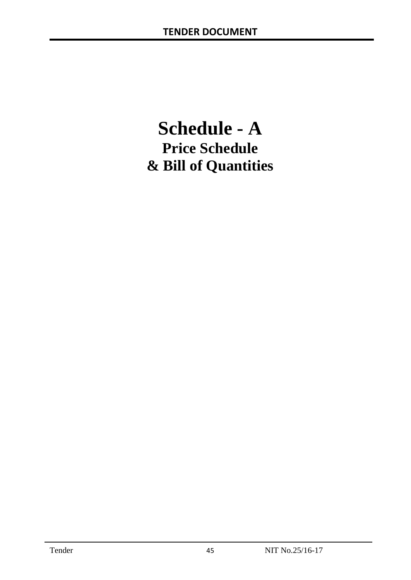# **Schedule - A Price Schedule & Bill of Quantities**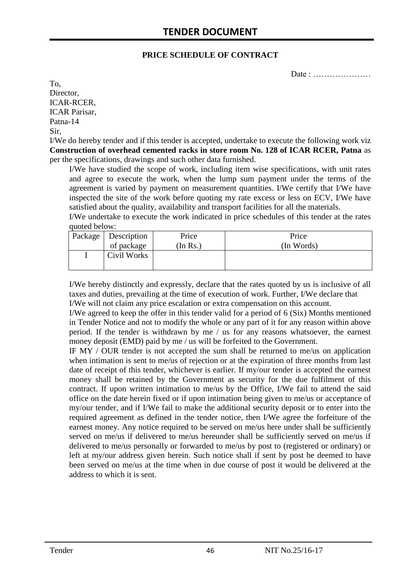#### **PRICE SCHEDULE OF CONTRACT**

Date : …………………

To, Director, ICAR-RCER, ICAR Parisar, Patna-14 Sir,

I/We do hereby tender and if this tender is accepted, undertake to execute the following work viz **Construction of overhead cemented racks in store room No. 128 of ICAR RCER, Patna** as per the specifications, drawings and such other data furnished.

I/We have studied the scope of work, including item wise specifications, with unit rates and agree to execute the work, when the lump sum payment under the terms of the agreement is varied by payment on measurement quantities. I/We certify that I/We have inspected the site of the work before quoting my rate excess or less on ECV, I/We have satisfied about the quality, availability and transport facilities for all the materials.

I/We undertake to execute the work indicated in price schedules of this tender at the rates quoted below:

| Package   Description | Price    | Price      |
|-----------------------|----------|------------|
| of package            | (In Rs.) | (In Words) |
| Civil Works           |          |            |
|                       |          |            |

I/We hereby distinctly and expressly, declare that the rates quoted by us is inclusive of all taxes and duties, prevailing at the time of execution of work. Further, I/We declare that I/We will not claim any price escalation or extra compensation on this account.

I/We agreed to keep the offer in this tender valid for a period of 6 (Six) Months mentioned in Tender Notice and not to modify the whole or any part of it for any reason within above period. If the tender is withdrawn by me / us for any reasons whatsoever, the earnest money deposit (EMD) paid by me / us will be forfeited to the Government.

IF MY / OUR tender is not accepted the sum shall be returned to me/us on application when intimation is sent to me/us of rejection or at the expiration of three months from last date of receipt of this tender, whichever is earlier. If my/our tender is accepted the earnest money shall be retained by the Government as security for the due fulfilment of this contract. If upon written intimation to me/us by the Office, I/We fail to attend the said office on the date herein fixed or if upon intimation being given to me/us or acceptance of my/our tender, and if I/We fail to make the additional security deposit or to enter into the required agreement as defined in the tender notice, then I/We agree the forfeiture of the earnest money. Any notice required to be served on me/us here under shall be sufficiently served on me/us if delivered to me/us hereunder shall be sufficiently served on me/us if delivered to me/us personally or forwarded to me/us by post to (registered or ordinary) or left at my/our address given herein. Such notice shall if sent by post be deemed to have been served on me/us at the time when in due course of post it would be delivered at the address to which it is sent.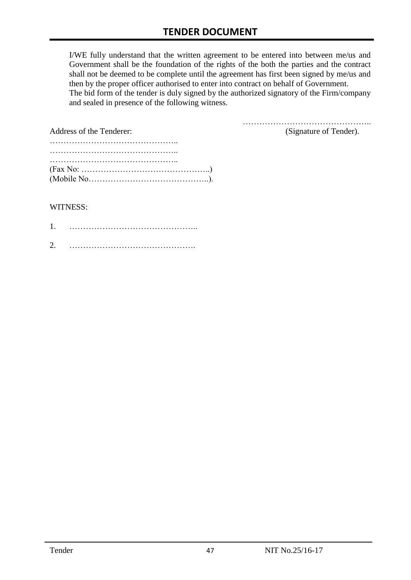I/WE fully understand that the written agreement to be entered into between me/us and Government shall be the foundation of the rights of the both the parties and the contract shall not be deemed to be complete until the agreement has first been signed by me/us and then by the proper officer authorised to enter into contract on behalf of Government. The bid form of the tender is duly signed by the authorized signatory of the Firm/company and sealed in presence of the following witness.

| Address of the Tenderer:                                                                  | (Signature of Tender). |
|-------------------------------------------------------------------------------------------|------------------------|
|                                                                                           |                        |
|                                                                                           |                        |
|                                                                                           |                        |
| $(Fax No: \dots \dots \dots \dots \dots \dots \dots \dots \dots \dots \dots \dots \dots)$ |                        |
|                                                                                           |                        |

#### WITNESS:

| 1 |  |
|---|--|
| ⌒ |  |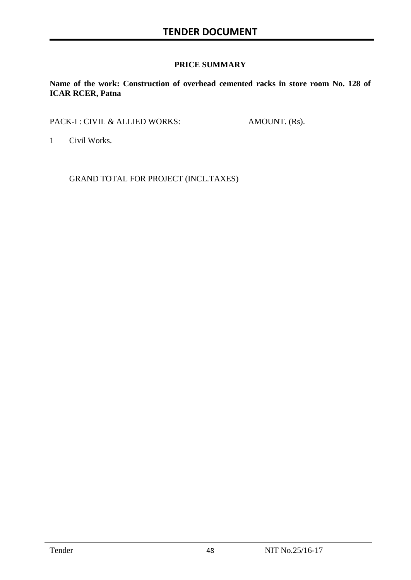#### **PRICE SUMMARY**

**Name of the work: Construction of overhead cemented racks in store room No. 128 of ICAR RCER, Patna**

PACK-I : CIVIL & ALLIED WORKS: AMOUNT. (Rs).

1 Civil Works.

GRAND TOTAL FOR PROJECT (INCL.TAXES)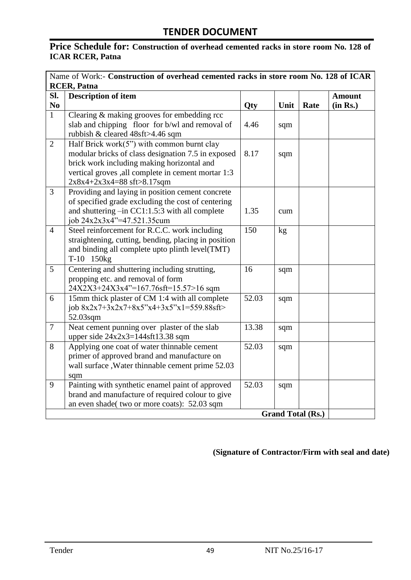#### **Price Schedule for: Construction of overhead cemented racks in store room No. 128 of ICAR RCER, Patna**

| Name of Work:- Construction of overhead cemented racks in store room No. 128 of ICAR |                                                                             |            |      |                          |               |
|--------------------------------------------------------------------------------------|-----------------------------------------------------------------------------|------------|------|--------------------------|---------------|
|                                                                                      | <b>RCER, Patna</b>                                                          |            |      |                          |               |
| SI.                                                                                  | <b>Description of item</b>                                                  |            |      |                          | <b>Amount</b> |
| N <sub>0</sub>                                                                       |                                                                             | <b>Qty</b> | Unit | Rate                     | (in Rs.)      |
| $\mathbf{1}$                                                                         | Clearing $\&$ making grooves for embedding rcc                              |            |      |                          |               |
|                                                                                      | slab and chipping floor for b/wl and removal of                             | 4.46       | sqm  |                          |               |
|                                                                                      | rubbish & cleared 48sft>4.46 sqm                                            |            |      |                          |               |
| $\overline{2}$                                                                       | Half Brick work(5") with common burnt clay                                  |            |      |                          |               |
|                                                                                      | modular bricks of class designation 7.5 in exposed                          | 8.17       | sqm  |                          |               |
|                                                                                      | brick work including making horizontal and                                  |            |      |                          |               |
|                                                                                      | vertical groves , all complete in cement mortar 1:3                         |            |      |                          |               |
|                                                                                      | $2x8x4+2x3x4=88$ sft>8.17sqm                                                |            |      |                          |               |
| $\overline{3}$                                                                       | Providing and laying in position cement concrete                            |            |      |                          |               |
|                                                                                      | of specified grade excluding the cost of centering                          | 1.35       |      |                          |               |
|                                                                                      | and shuttering $-$ in CC1:1.5:3 with all complete                           |            | cum  |                          |               |
| $\overline{4}$                                                                       | job 24x2x3x4"=47.521.35cum<br>Steel reinforcement for R.C.C. work including | 150        | kg   |                          |               |
|                                                                                      | straightening, cutting, bending, placing in position                        |            |      |                          |               |
|                                                                                      | and binding all complete upto plinth level(TMT)                             |            |      |                          |               |
|                                                                                      | T-10 150kg                                                                  |            |      |                          |               |
| 5                                                                                    | Centering and shuttering including strutting,                               | 16         | sqm  |                          |               |
|                                                                                      | propping etc. and removal of form                                           |            |      |                          |               |
|                                                                                      | 24X2X3+24X3x4"=167.76sft=15.57>16 sqm                                       |            |      |                          |               |
| 6                                                                                    | 15mm thick plaster of CM 1:4 with all complete                              | 52.03      | sqm  |                          |               |
|                                                                                      | job $8x2x7+3x2x7+8x5''x4+3x5''x1=559.88sft$                                 |            |      |                          |               |
|                                                                                      | 52.03sqm                                                                    |            |      |                          |               |
| $\overline{7}$                                                                       | Neat cement punning over plaster of the slab                                | 13.38      | sqm  |                          |               |
|                                                                                      | upper side $24x2x3=144$ sft13.38 sqm                                        |            |      |                          |               |
| 8                                                                                    | Applying one coat of water thinnable cement                                 | 52.03      | sqm  |                          |               |
|                                                                                      | primer of approved brand and manufacture on                                 |            |      |                          |               |
|                                                                                      | wall surface , Water thinnable cement prime 52.03                           |            |      |                          |               |
|                                                                                      | sqm                                                                         |            |      |                          |               |
| 9                                                                                    | Painting with synthetic enamel paint of approved                            | 52.03      | sqm  |                          |               |
|                                                                                      | brand and manufacture of required colour to give                            |            |      |                          |               |
|                                                                                      | an even shade( two or more coats): 52.03 sqm                                |            |      |                          |               |
|                                                                                      |                                                                             |            |      | <b>Grand Total (Rs.)</b> |               |

**(Signature of Contractor/Firm with seal and date)**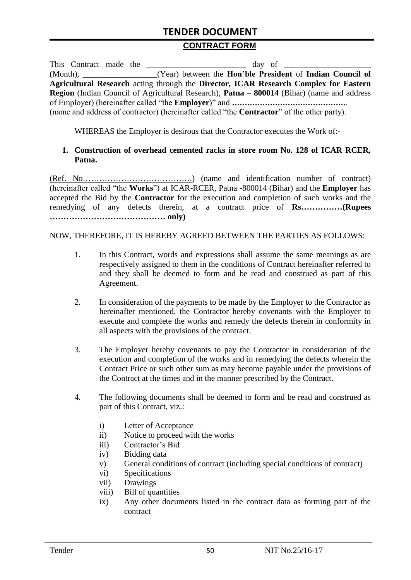### **TENDER DOCUMENT**

#### **CONTRACT FORM**

| This Contract made the |  | day of                                                                                                   |
|------------------------|--|----------------------------------------------------------------------------------------------------------|
|                        |  | (Month), _______________(Year) between the <b>Hon'ble President</b> of <b>Indian Council of</b>          |
|                        |  | Agricultural Research acting through the Director, ICAR Research Complex for Eastern                     |
|                        |  | <b>Region</b> (Indian Council of Agricultural Research), <b>Patna – 800014</b> (Bihar) (name and address |
|                        |  |                                                                                                          |
|                        |  | (name and address of contractor) (hereinafter called "the <b>Contractor</b> " of the other party).       |

WHEREAS the Employer is desirous that the Contractor executes the Work of:-

#### **1. Construction of overhead cemented racks in store room No. 128 of ICAR RCER, Patna.**

(Ref. No………………………………….) (name and identification number of contract) (hereinafter called "the **Works**") at ICAR-RCER, Patna -800014 (Bihar) and the **Employer** has accepted the Bid by the **Contractor** for the execution and completion of such works and the remedying of any defects therein, at a contract price of **Rs……………(Rupees …………………………………… only)**

NOW, THEREFORE, IT IS HEREBY AGREED BETWEEN THE PARTIES AS FOLLOWS:

- 1. In this Contract, words and expressions shall assume the same meanings as are respectively assigned to them in the conditions of Contract hereinafter referred to and they shall be deemed to form and be read and construed as part of this Agreement.
- 2. In consideration of the payments to be made by the Employer to the Contractor as hereinafter mentioned, the Contractor hereby covenants with the Employer to execute and complete the works and remedy the defects therein in conformity in all aspects with the provisions of the contract.
- 3. The Employer hereby covenants to pay the Contractor in consideration of the execution and completion of the works and in remedying the defects wherein the Contract Price or such other sum as may become payable under the provisions of the Contract at the times and in the manner prescribed by the Contract.
- 4. The following documents shall be deemed to form and be read and construed as part of this Contract, viz.:
	- i) Letter of Acceptance
	- ii) Notice to proceed with the works
	- iii) Contractor's Bid
	- iv) Bidding data
	- v) General conditions of contract (including special conditions of contract)
	- vi) Specifications
	- vii) Drawings
	- viii) Bill of quantities
	- ix) Any other documents listed in the contract data as forming part of the contract